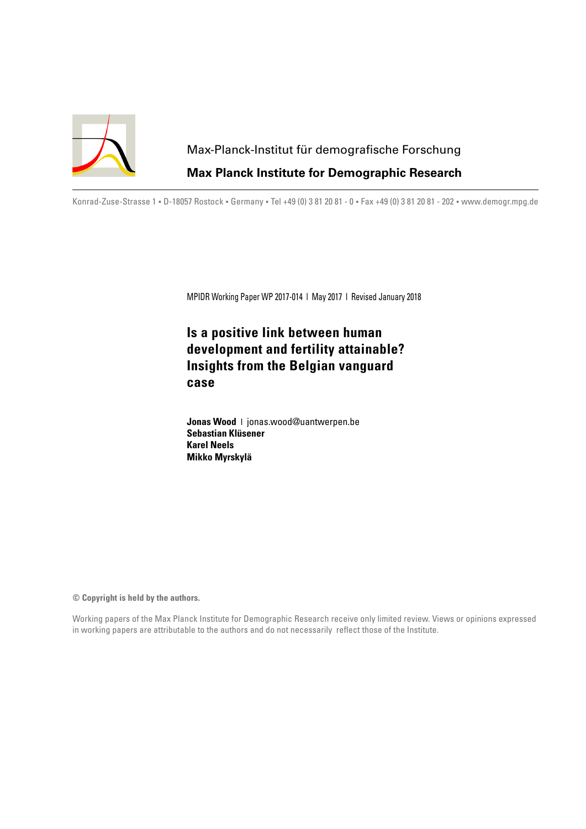

# Max-Planck-Institut für demografische Forschung **Max Planck Institute for Demographic Research**

Konrad-Zuse-Strasse 1 · D-18057 Rostock · Germany · Tel +49 (0) 3 81 20 81 - 0 · Fax +49 (0) 3 81 20 81 - 202 · www.demogr.mpg.de

MPIDR Working Paper WP 2017-014 l May 2017 l Revised January 2018

# **Is a positive link between human development and fertility attainable? Insights from the Belgian vanguard case**

**Jonas Wood** l jonas.wood@uantwerpen.be **Sebastian Klüsener Karel Neels Mikko Myrskylä**

**© Copyright is held by the authors.**

Working papers of the Max Planck Institute for Demographic Research receive only limited review. Views or opinions expressed in working papers are attributable to the authors and do not necessarily reflect those of the Institute.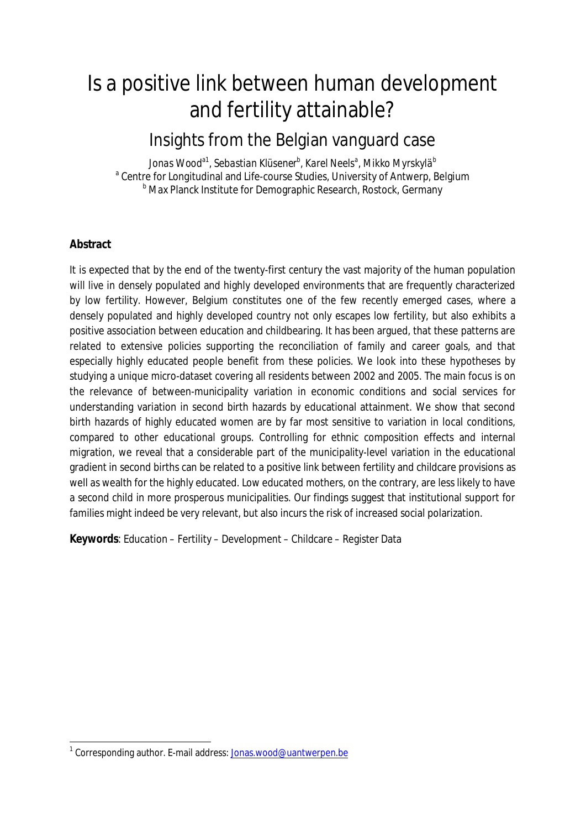# Is a positive link between human development and fertility attainable?

# Insights from the Belgian vanguard case

*Jonas Wooda1, Sebastian Klüsener<sup>b</sup> , Karel Neels<sup>a</sup> , Mikko Myrskylä<sup>b</sup>* <sup>a</sup> Centre for Longitudinal and Life-course Studies, University of Antwerp, Belgium **b Max Planck Institute for Demographic Research, Rostock, Germany** 

# **Abstract**

It is expected that by the end of the twenty-first century the vast majority of the human population will live in densely populated and highly developed environments that are frequently characterized by low fertility. However, Belgium constitutes one of the few recently emerged cases, where a densely populated and highly developed country not only escapes low fertility, but also exhibits a positive association between education and childbearing. It has been argued, that these patterns are related to extensive policies supporting the reconciliation of family and career goals, and that especially highly educated people benefit from these policies. We look into these hypotheses by studying a unique micro-dataset covering all residents between 2002 and 2005. The main focus is on the relevance of between-municipality variation in economic conditions and social services for understanding variation in second birth hazards by educational attainment. We show that second birth hazards of highly educated women are by far most sensitive to variation in local conditions, compared to other educational groups. Controlling for ethnic composition effects and internal migration, we reveal that a considerable part of the municipality-level variation in the educational gradient in second births can be related to a positive link between fertility and childcare provisions as well as wealth for the highly educated. Low educated mothers, on the contrary, are less likely to have a second child in more prosperous municipalities. Our findings suggest that institutional support for families might indeed be very relevant, but also incurs the risk of increased social polarization.

**Keywords**: Education – Fertility – Development – Childcare – Register Data

<sup>&</sup>lt;sup>1</sup> Corresponding author. E-mail address: **Jonas.wood@uantwerpen.be**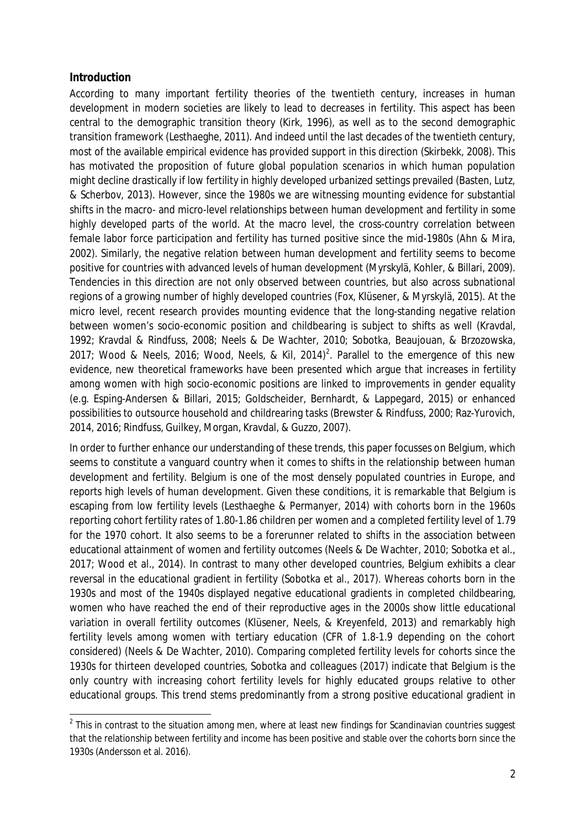#### **Introduction**

According to many important fertility theories of the twentieth century, increases in human development in modern societies are likely to lead to decreases in fertility. This aspect has been central to the demographic transition theory (Kirk, 1996), as well as to the second demographic transition framework (Lesthaeghe, 2011). And indeed until the last decades of the twentieth century, most of the available empirical evidence has provided support in this direction (Skirbekk, 2008). This has motivated the proposition of future global population scenarios in which human population might decline drastically if low fertility in highly developed urbanized settings prevailed (Basten, Lutz, & Scherbov, 2013). However, since the 1980s we are witnessing mounting evidence for substantial shifts in the macro- and micro-level relationships between human development and fertility in some highly developed parts of the world. At the macro level, the cross-country correlation between female labor force participation and fertility has turned positive since the mid-1980s (Ahn & Mira, 2002). Similarly, the negative relation between human development and fertility seems to become positive for countries with advanced levels of human development (Myrskylä, Kohler, & Billari, 2009). Tendencies in this direction are not only observed between countries, but also across subnational regions of a growing number of highly developed countries (Fox, Klüsener, & Myrskylä, 2015). At the micro level, recent research provides mounting evidence that the long-standing negative relation between women's socio-economic position and childbearing is subject to shifts as well (Kravdal, 1992; Kravdal & Rindfuss, 2008; Neels & De Wachter, 2010; Sobotka, Beaujouan, & Brzozowska, 2017; Wood & Neels, 2016; Wood, Neels, & Kil, 2014)<sup>2</sup>. Parallel to the emergence of this new evidence, new theoretical frameworks have been presented which argue that increases in fertility among women with high socio-economic positions are linked to improvements in gender equality (e.g. Esping-Andersen & Billari, 2015; Goldscheider, Bernhardt, & Lappegard, 2015) or enhanced possibilities to outsource household and childrearing tasks (Brewster & Rindfuss, 2000; Raz-Yurovich, 2014, 2016; Rindfuss, Guilkey, Morgan, Kravdal, & Guzzo, 2007).

In order to further enhance our understanding of these trends, this paper focusses on Belgium, which seems to constitute a vanguard country when it comes to shifts in the relationship between human development and fertility. Belgium is one of the most densely populated countries in Europe, and reports high levels of human development. Given these conditions, it is remarkable that Belgium is escaping from low fertility levels (Lesthaeghe & Permanyer, 2014) with cohorts born in the 1960s reporting cohort fertility rates of 1.80-1.86 children per women and a completed fertility level of 1.79 for the 1970 cohort. It also seems to be a forerunner related to shifts in the association between educational attainment of women and fertility outcomes (Neels & De Wachter, 2010; Sobotka et al., 2017; Wood et al., 2014). In contrast to many other developed countries, Belgium exhibits a clear reversal in the educational gradient in fertility (Sobotka et al., 2017). Whereas cohorts born in the 1930s and most of the 1940s displayed negative educational gradients in completed childbearing, women who have reached the end of their reproductive ages in the 2000s show little educational variation in overall fertility outcomes (Klüsener, Neels, & Kreyenfeld, 2013) and remarkably high fertility levels among women with tertiary education (CFR of 1.8-1.9 depending on the cohort considered) (Neels & De Wachter, 2010). Comparing completed fertility levels for cohorts since the 1930s for thirteen developed countries, Sobotka and colleagues (2017) indicate that Belgium is the only country with increasing cohort fertility levels for highly educated groups relative to other educational groups. This trend stems predominantly from a strong positive educational gradient in

 $2$  This in contrast to the situation among men, where at least new findings for Scandinavian countries suggest that the relationship between fertility and income has been positive and stable over the cohorts born since the 1930s (Andersson et al. 2016).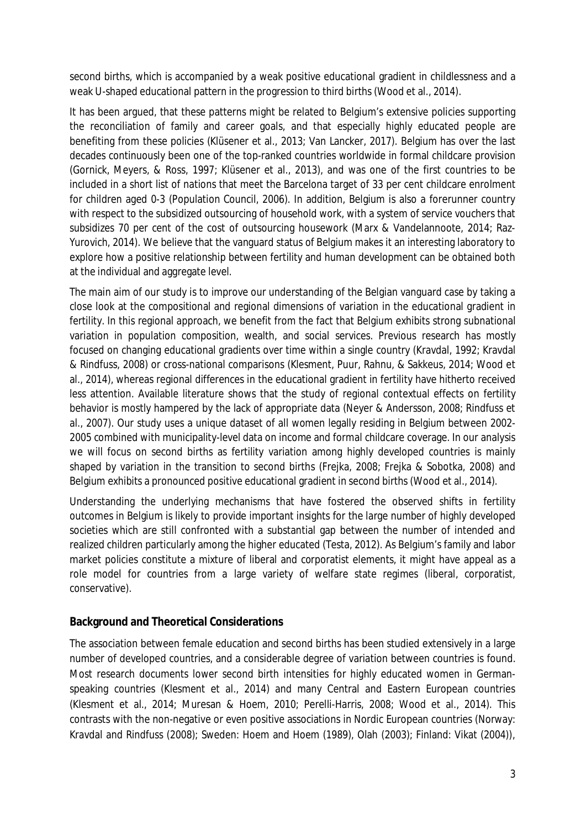second births, which is accompanied by a weak positive educational gradient in childlessness and a weak U-shaped educational pattern in the progression to third births (Wood et al., 2014).

It has been argued, that these patterns might be related to Belgium's extensive policies supporting the reconciliation of family and career goals, and that especially highly educated people are benefiting from these policies (Klüsener et al., 2013; Van Lancker, 2017). Belgium has over the last decades continuously been one of the top-ranked countries worldwide in formal childcare provision (Gornick, Meyers, & Ross, 1997; Klüsener et al., 2013), and was one of the first countries to be included in a short list of nations that meet the Barcelona target of 33 per cent childcare enrolment for children aged 0-3 (Population Council, 2006). In addition, Belgium is also a forerunner country with respect to the subsidized outsourcing of household work, with a system of service vouchers that subsidizes 70 per cent of the cost of outsourcing housework (Marx & Vandelannoote, 2014; Raz-Yurovich, 2014). We believe that the vanguard status of Belgium makes it an interesting laboratory to explore how a positive relationship between fertility and human development can be obtained both at the individual and aggregate level.

The main aim of our study is to improve our understanding of the Belgian vanguard case by taking a close look at the compositional and regional dimensions of variation in the educational gradient in fertility. In this regional approach, we benefit from the fact that Belgium exhibits strong subnational variation in population composition, wealth, and social services. Previous research has mostly focused on changing educational gradients over time within a single country (Kravdal, 1992; Kravdal & Rindfuss, 2008) or cross-national comparisons (Klesment, Puur, Rahnu, & Sakkeus, 2014; Wood et al., 2014), whereas regional differences in the educational gradient in fertility have hitherto received less attention. Available literature shows that the study of regional contextual effects on fertility behavior is mostly hampered by the lack of appropriate data (Neyer & Andersson, 2008; Rindfuss et al., 2007). Our study uses a unique dataset of all women legally residing in Belgium between 2002- 2005 combined with municipality-level data on income and formal childcare coverage. In our analysis we will focus on second births as fertility variation among highly developed countries is mainly shaped by variation in the transition to second births (Frejka, 2008; Frejka & Sobotka, 2008) and Belgium exhibits a pronounced positive educational gradient in second births (Wood et al., 2014).

Understanding the underlying mechanisms that have fostered the observed shifts in fertility outcomes in Belgium is likely to provide important insights for the large number of highly developed societies which are still confronted with a substantial gap between the number of intended and realized children particularly among the higher educated (Testa, 2012). As Belgium's family and labor market policies constitute a mixture of liberal and corporatist elements, it might have appeal as a role model for countries from a large variety of welfare state regimes (liberal, corporatist, conservative).

# **Background and Theoretical Considerations**

The association between female education and second births has been studied extensively in a large number of developed countries, and a considerable degree of variation between countries is found. Most research documents lower second birth intensities for highly educated women in Germanspeaking countries (Klesment et al., 2014) and many Central and Eastern European countries (Klesment et al., 2014; Muresan & Hoem, 2010; Perelli-Harris, 2008; Wood et al., 2014). This contrasts with the non-negative or even positive associations in Nordic European countries (Norway: Kravdal and Rindfuss (2008); Sweden: Hoem and Hoem (1989), Olah (2003); Finland: Vikat (2004)),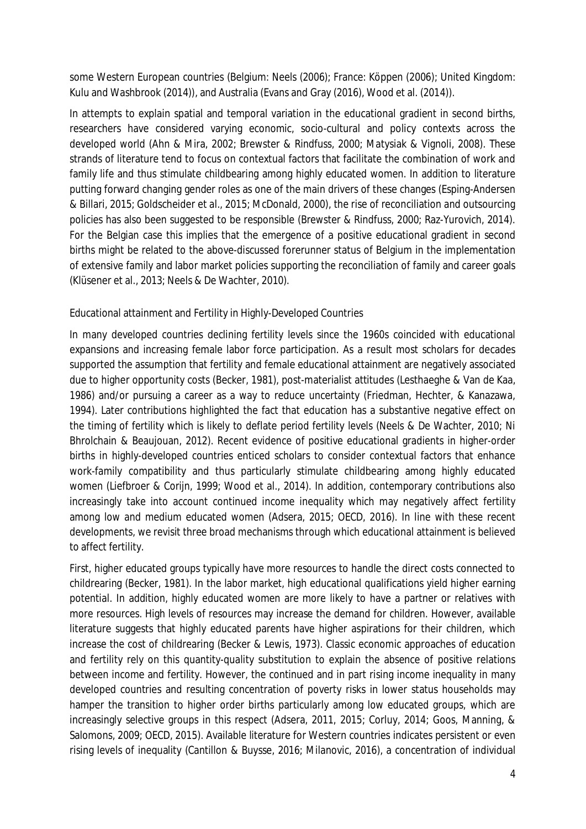some Western European countries (Belgium: Neels (2006); France: Köppen (2006); United Kingdom: Kulu and Washbrook (2014)), and Australia (Evans and Gray (2016), Wood et al. (2014)).

In attempts to explain spatial and temporal variation in the educational gradient in second births, researchers have considered varying economic, socio-cultural and policy contexts across the developed world (Ahn & Mira, 2002; Brewster & Rindfuss, 2000; Matysiak & Vignoli, 2008). These strands of literature tend to focus on contextual factors that facilitate the combination of work and family life and thus stimulate childbearing among highly educated women. In addition to literature putting forward changing gender roles as one of the main drivers of these changes (Esping-Andersen & Billari, 2015; Goldscheider et al., 2015; McDonald, 2000), the rise of reconciliation and outsourcing policies has also been suggested to be responsible (Brewster & Rindfuss, 2000; Raz-Yurovich, 2014). For the Belgian case this implies that the emergence of a positive educational gradient in second births might be related to the above-discussed forerunner status of Belgium in the implementation of extensive family and labor market policies supporting the reconciliation of family and career goals (Klüsener et al., 2013; Neels & De Wachter, 2010).

# Educational attainment and Fertility in Highly-Developed Countries

In many developed countries declining fertility levels since the 1960s coincided with educational expansions and increasing female labor force participation. As a result most scholars for decades supported the assumption that fertility and female educational attainment are negatively associated due to higher opportunity costs (Becker, 1981), post-materialist attitudes (Lesthaeghe & Van de Kaa, 1986) and/or pursuing a career as a way to reduce uncertainty (Friedman, Hechter, & Kanazawa, 1994). Later contributions highlighted the fact that education has a substantive negative effect on the timing of fertility which is likely to deflate period fertility levels (Neels & De Wachter, 2010; Ni Bhrolchain & Beaujouan, 2012). Recent evidence of positive educational gradients in higher-order births in highly-developed countries enticed scholars to consider contextual factors that enhance work-family compatibility and thus particularly stimulate childbearing among highly educated women (Liefbroer & Corijn, 1999; Wood et al., 2014). In addition, contemporary contributions also increasingly take into account continued income inequality which may negatively affect fertility among low and medium educated women (Adsera, 2015; OECD, 2016). In line with these recent developments, we revisit three broad mechanisms through which educational attainment is believed to affect fertility.

First, higher educated groups typically have more resources to handle the direct costs connected to childrearing (Becker, 1981). In the labor market, high educational qualifications yield higher earning potential. In addition, highly educated women are more likely to have a partner or relatives with more resources. High levels of resources may increase the demand for children. However, available literature suggests that highly educated parents have higher aspirations for their children, which increase the cost of childrearing (Becker & Lewis, 1973). Classic economic approaches of education and fertility rely on this quantity-quality substitution to explain the absence of positive relations between income and fertility. However, the continued and in part rising income inequality in many developed countries and resulting concentration of poverty risks in lower status households may hamper the transition to higher order births particularly among low educated groups, which are increasingly selective groups in this respect (Adsera, 2011, 2015; Corluy, 2014; Goos, Manning, & Salomons, 2009; OECD, 2015). Available literature for Western countries indicates persistent or even rising levels of inequality (Cantillon & Buysse, 2016; Milanovic, 2016), a concentration of individual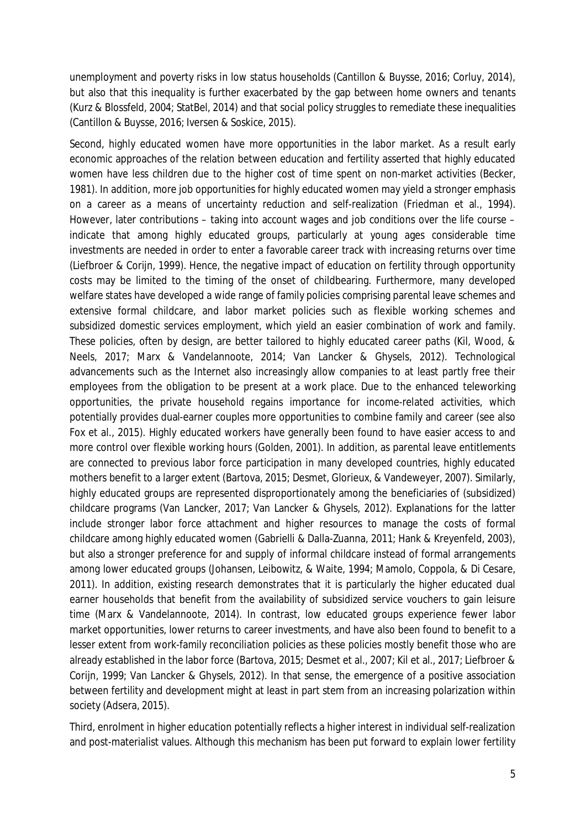unemployment and poverty risks in low status households (Cantillon & Buysse, 2016; Corluy, 2014), but also that this inequality is further exacerbated by the gap between home owners and tenants (Kurz & Blossfeld, 2004; StatBel, 2014) and that social policy struggles to remediate these inequalities (Cantillon & Buysse, 2016; Iversen & Soskice, 2015).

Second, highly educated women have more *opportunities* in the labor market. As a result early economic approaches of the relation between education and fertility asserted that highly educated women have less children due to the higher cost of time spent on non-market activities (Becker, 1981). In addition, more job opportunities for highly educated women may yield a stronger emphasis on a career as a means of uncertainty reduction and self-realization (Friedman et al., 1994). However, later contributions – taking into account wages and job conditions over the life course – indicate that among highly educated groups, particularly at young ages considerable time investments are needed in order to enter a favorable career track with increasing returns over time (Liefbroer & Corijn, 1999). Hence, the negative impact of education on fertility through opportunity costs may be limited to the timing of the onset of childbearing. Furthermore, many developed welfare states have developed a wide range of family policies comprising parental leave schemes and extensive formal childcare, and labor market policies such as flexible working schemes and subsidized domestic services employment, which yield an easier combination of work and family. These policies, often by design, are better tailored to highly educated career paths (Kil, Wood, & Neels, 2017; Marx & Vandelannoote, 2014; Van Lancker & Ghysels, 2012). Technological advancements such as the Internet also increasingly allow companies to at least partly free their employees from the obligation to be present at a work place. Due to the enhanced teleworking opportunities, the private household regains importance for income-related activities, which potentially provides dual-earner couples more opportunities to combine family and career (see also Fox et al., 2015). Highly educated workers have generally been found to have easier access to and more control over flexible working hours (Golden, 2001). In addition, as parental leave entitlements are connected to previous labor force participation in many developed countries, highly educated mothers benefit to a larger extent (Bartova, 2015; Desmet, Glorieux, & Vandeweyer, 2007). Similarly, highly educated groups are represented disproportionately among the beneficiaries of (subsidized) childcare programs (Van Lancker, 2017; Van Lancker & Ghysels, 2012). Explanations for the latter include stronger labor force attachment and higher resources to manage the costs of formal childcare among highly educated women (Gabrielli & Dalla-Zuanna, 2011; Hank & Kreyenfeld, 2003), but also a stronger preference for and supply of informal childcare instead of formal arrangements among lower educated groups (Johansen, Leibowitz, & Waite, 1994; Mamolo, Coppola, & Di Cesare, 2011). In addition, existing research demonstrates that it is particularly the higher educated dual earner households that benefit from the availability of subsidized service vouchers to gain leisure time (Marx & Vandelannoote, 2014). In contrast, low educated groups experience fewer labor market opportunities, lower returns to career investments, and have also been found to benefit to a lesser extent from work-family reconciliation policies as these policies mostly benefit those who are already established in the labor force (Bartova, 2015; Desmet et al., 2007; Kil et al., 2017; Liefbroer & Corijn, 1999; Van Lancker & Ghysels, 2012). In that sense, the emergence of a positive association between fertility and development might at least in part stem from an increasing polarization within society (Adsera, 2015).

Third, enrolment in higher education potentially reflects a higher interest in individual self-realization and post-materialist values. Although this mechanism has been put forward to explain lower fertility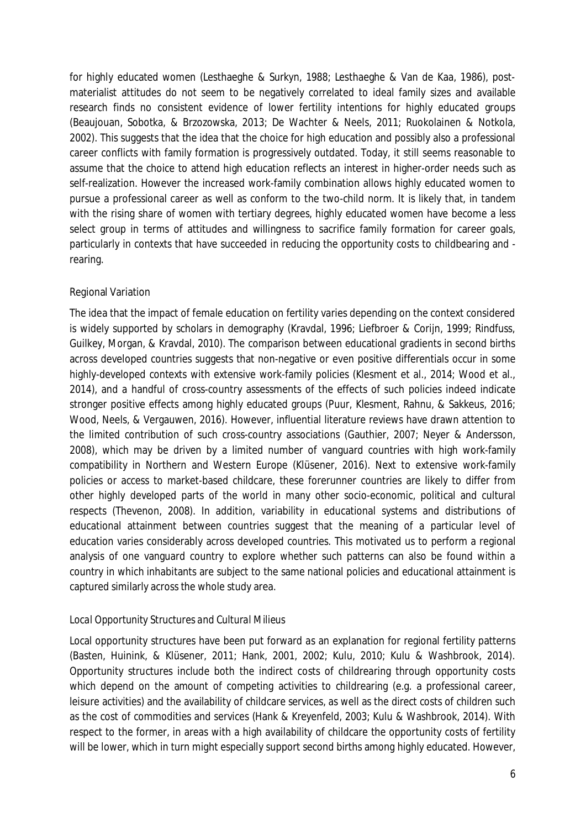for highly educated women (Lesthaeghe & Surkyn, 1988; Lesthaeghe & Van de Kaa, 1986), postmaterialist attitudes do not seem to be negatively correlated to ideal family sizes and available research finds no consistent evidence of lower fertility intentions for highly educated groups (Beaujouan, Sobotka, & Brzozowska, 2013; De Wachter & Neels, 2011; Ruokolainen & Notkola, 2002). This suggests that the idea that the choice for high education and possibly also a professional career conflicts with family formation is progressively outdated. Today, it still seems reasonable to assume that the choice to attend high education reflects an interest in higher-order needs such as self-realization. However the increased work-family combination allows highly educated women to pursue a professional career as well as conform to the two-child norm. It is likely that, in tandem with the rising share of women with tertiary degrees, highly educated women have become a less select group in terms of attitudes and willingness to sacrifice family formation for career goals, particularly in contexts that have succeeded in reducing the opportunity costs to childbearing and rearing.

#### Regional Variation

The idea that the impact of female education on fertility varies depending on the context considered is widely supported by scholars in demography (Kravdal, 1996; Liefbroer & Corijn, 1999; Rindfuss, Guilkey, Morgan, & Kravdal, 2010). The comparison between educational gradients in second births across developed countries suggests that non-negative or even positive differentials occur in some highly-developed contexts with extensive work-family policies (Klesment et al., 2014; Wood et al., 2014), and a handful of cross-country assessments of the effects of such policies indeed indicate stronger positive effects among highly educated groups (Puur, Klesment, Rahnu, & Sakkeus, 2016; Wood, Neels, & Vergauwen, 2016). However, influential literature reviews have drawn attention to the limited contribution of such cross-country associations (Gauthier, 2007; Neyer & Andersson, 2008), which may be driven by a limited number of vanguard countries with high work-family compatibility in Northern and Western Europe (Klüsener, 2016). Next to extensive work-family policies or access to market-based childcare, these forerunner countries are likely to differ from other highly developed parts of the world in many other socio-economic, political and cultural respects (Thevenon, 2008). In addition, variability in educational systems and distributions of educational attainment between countries suggest that the meaning of a particular level of education varies considerably across developed countries. This motivated us to perform a regional analysis of one vanguard country to explore whether such patterns can also be found within a country in which inhabitants are subject to the same national policies and educational attainment is captured similarly across the whole study area.

# *Local Opportunity Structures and Cultural Milieus*

Local opportunity structures have been put forward as an explanation for regional fertility patterns (Basten, Huinink, & Klüsener, 2011; Hank, 2001, 2002; Kulu, 2010; Kulu & Washbrook, 2014). Opportunity structures include both the indirect costs of childrearing through opportunity costs which depend on the amount of competing activities to childrearing (e.g. a professional career, leisure activities) and the availability of childcare services, as well as the direct costs of children such as the cost of commodities and services (Hank & Kreyenfeld, 2003; Kulu & Washbrook, 2014). With respect to the former, in areas with a high availability of childcare the opportunity costs of fertility will be lower, which in turn might especially support second births among highly educated. However,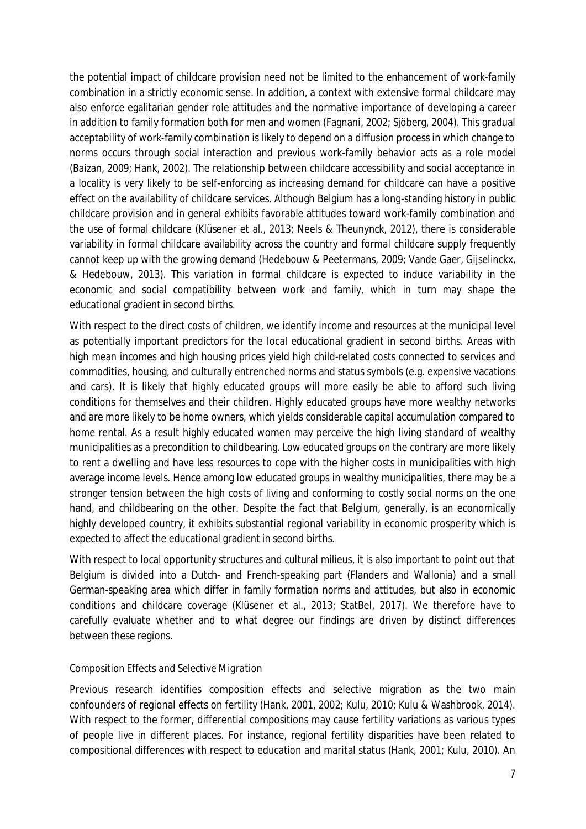the potential impact of childcare provision need not be limited to the enhancement of work-family combination in a strictly economic sense. In addition, a context with extensive formal childcare may also enforce egalitarian gender role attitudes and the normative importance of developing a career in addition to family formation both for men and women (Fagnani, 2002; Sjöberg, 2004). This gradual acceptability of work-family combination is likely to depend on a diffusion process in which change to norms occurs through social interaction and previous work-family behavior acts as a role model (Baizan, 2009; Hank, 2002). The relationship between childcare accessibility and social acceptance in a locality is very likely to be self-enforcing as increasing demand for childcare can have a positive effect on the availability of childcare services. Although Belgium has a long-standing history in public childcare provision and in general exhibits favorable attitudes toward work-family combination and the use of formal childcare (Klüsener et al., 2013; Neels & Theunynck, 2012), there is considerable variability in formal childcare availability across the country and formal childcare supply frequently cannot keep up with the growing demand (Hedebouw & Peetermans, 2009; Vande Gaer, Gijselinckx, & Hedebouw, 2013). This variation in formal childcare is expected to induce variability in the economic and social compatibility between work and family, which in turn may shape the educational gradient in second births.

With respect to the direct costs of children, we identify income and resources at the municipal level as potentially important predictors for the local educational gradient in second births. Areas with high mean incomes and high housing prices yield high child-related costs connected to services and commodities, housing, and culturally entrenched norms and status symbols (e.g. expensive vacations and cars). It is likely that highly educated groups will more easily be able to afford such living conditions for themselves and their children. Highly educated groups have more wealthy networks and are more likely to be home owners, which yields considerable capital accumulation compared to home rental. As a result highly educated women may perceive the high living standard of wealthy municipalities as a precondition to childbearing. Low educated groups on the contrary are more likely to rent a dwelling and have less resources to cope with the higher costs in municipalities with high average income levels. Hence among low educated groups in wealthy municipalities, there may be a stronger tension between the high costs of living and conforming to costly social norms on the one hand, and childbearing on the other. Despite the fact that Belgium, generally, is an economically highly developed country, it exhibits substantial regional variability in economic prosperity which is expected to affect the educational gradient in second births.

With respect to local opportunity structures and cultural milieus, it is also important to point out that Belgium is divided into a Dutch- and French-speaking part (Flanders and Wallonia) and a small German-speaking area which differ in family formation norms and attitudes, but also in economic conditions and childcare coverage (Klüsener et al., 2013; StatBel, 2017). We therefore have to carefully evaluate whether and to what degree our findings are driven by distinct differences between these regions.

# *Composition Effects and Selective Migration*

Previous research identifies composition effects and selective migration as the two main confounders of regional effects on fertility (Hank, 2001, 2002; Kulu, 2010; Kulu & Washbrook, 2014). With respect to the former, differential compositions may cause fertility variations as various types of people live in different places. For instance, regional fertility disparities have been related to compositional differences with respect to education and marital status (Hank, 2001; Kulu, 2010). An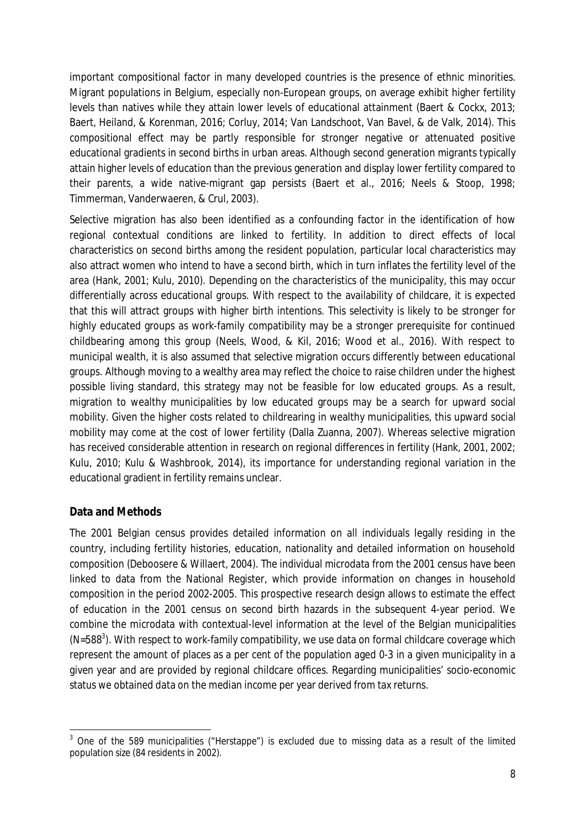important compositional factor in many developed countries is the presence of ethnic minorities. Migrant populations in Belgium, especially non-European groups, on average exhibit higher fertility levels than natives while they attain lower levels of educational attainment (Baert & Cockx, 2013; Baert, Heiland, & Korenman, 2016; Corluy, 2014; Van Landschoot, Van Bavel, & de Valk, 2014). This compositional effect may be partly responsible for stronger negative or attenuated positive educational gradients in second births in urban areas. Although second generation migrants typically attain higher levels of education than the previous generation and display lower fertility compared to their parents, a wide native-migrant gap persists (Baert et al., 2016; Neels & Stoop, 1998; Timmerman, Vanderwaeren, & Crul, 2003).

Selective migration has also been identified as a confounding factor in the identification of how regional contextual conditions are linked to fertility. In addition to direct effects of local characteristics on second births among the resident population, particular local characteristics may also attract women who intend to have a second birth, which in turn inflates the fertility level of the area (Hank, 2001; Kulu, 2010). Depending on the characteristics of the municipality, this may occur differentially across educational groups. With respect to the availability of childcare, it is expected that this will attract groups with higher birth intentions. This selectivity is likely to be stronger for highly educated groups as work-family compatibility may be a stronger prerequisite for continued childbearing among this group (Neels, Wood, & Kil, 2016; Wood et al., 2016). With respect to municipal wealth, it is also assumed that selective migration occurs differently between educational groups. Although moving to a wealthy area may reflect the choice to raise children under the highest possible living standard, this strategy may not be feasible for low educated groups. As a result, migration to wealthy municipalities by low educated groups may be a search for upward social mobility. Given the higher costs related to childrearing in wealthy municipalities, this upward social mobility may come at the cost of lower fertility (Dalla Zuanna, 2007). Whereas selective migration has received considerable attention in research on regional differences in fertility (Hank, 2001, 2002; Kulu, 2010; Kulu & Washbrook, 2014), its importance for understanding regional variation in the educational gradient in fertility remains unclear.

# **Data and Methods**

The 2001 Belgian census provides detailed information on all individuals legally residing in the country, including fertility histories, education, nationality and detailed information on household composition (Deboosere & Willaert, 2004). The individual microdata from the 2001 census have been linked to data from the National Register, which provide information on changes in household composition in the period 2002-2005. This prospective research design allows to estimate the effect of education in the 2001 census on second birth hazards in the subsequent 4-year period. We combine the microdata with contextual-level information at the level of the Belgian municipalities  $(N=588^3)$ . With respect to work-family compatibility, we use data on formal childcare coverage which represent the amount of places as a per cent of the population aged 0-3 in a given municipality in a given year and are provided by regional childcare offices. Regarding municipalities' socio-economic status we obtained data on the median income per year derived from tax returns.

 $3$  One of the 589 municipalities ("Herstappe") is excluded due to missing data as a result of the limited population size (84 residents in 2002).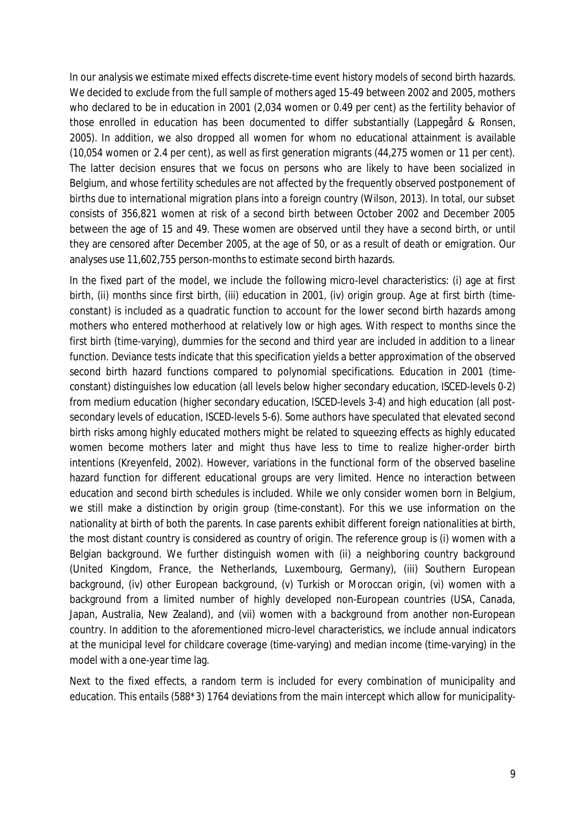In our analysis we estimate mixed effects discrete-time event history models of second birth hazards. We decided to exclude from the full sample of mothers aged 15-49 between 2002 and 2005, mothers who declared to be in education in 2001 (2,034 women or 0.49 per cent) as the fertility behavior of those enrolled in education has been documented to differ substantially (Lappegård & Ronsen, 2005). In addition, we also dropped all women for whom no educational attainment is available (10,054 women or 2.4 per cent), as well as first generation migrants (44,275 women or 11 per cent). The latter decision ensures that we focus on persons who are likely to have been socialized in Belgium, and whose fertility schedules are not affected by the frequently observed postponement of births due to international migration plans into a foreign country (Wilson, 2013). In total, our subset consists of 356,821 women at risk of a second birth between October 2002 and December 2005 between the age of 15 and 49. These women are observed until they have a second birth, or until they are censored after December 2005, at the age of 50, or as a result of death or emigration. Our analyses use 11,602,755 person-months to estimate second birth hazards.

In the fixed part of the model, we include the following micro-level characteristics: (i) age at first birth, (ii) months since first birth, (iii) education in 2001, (iv) origin group. *Age at first birth* (timeconstant) is included as a quadratic function to account for the lower second birth hazards among mothers who entered motherhood at relatively low or high ages. With respect to *months since the first birth* (time-varying), dummies for the second and third year are included in addition to a linear function. Deviance tests indicate that this specification yields a better approximation of the observed second birth hazard functions compared to polynomial specifications. *Education* in 2001 (timeconstant) distinguishes low education (all levels below higher secondary education, ISCED-levels 0-2) from medium education (higher secondary education, ISCED-levels 3-4) and high education (all postsecondary levels of education, ISCED-levels 5-6). Some authors have speculated that elevated second birth risks among highly educated mothers might be related to squeezing effects as highly educated women become mothers later and might thus have less to time to realize higher-order birth intentions (Kreyenfeld, 2002). However, variations in the functional form of the observed baseline hazard function for different educational groups are very limited. Hence no interaction between education and second birth schedules is included. While we only consider women born in Belgium, we still make a distinction by *origin group* (time-constant). For this we use information on the nationality at birth of both the parents. In case parents exhibit different foreign nationalities at birth, the most distant country is considered as country of origin. The reference group is (i) women with a Belgian background. We further distinguish women with (ii) a neighboring country background (United Kingdom, France, the Netherlands, Luxembourg, Germany), (iii) Southern European background, (iv) other European background, (v) Turkish or Moroccan origin, (vi) women with a background from a limited number of highly developed non-European countries (USA, Canada, Japan, Australia, New Zealand), and (vii) women with a background from another non-European country. In addition to the aforementioned micro-level characteristics, we include annual indicators at the municipal level for *childcare coverage* (time-varying) and *median income* (time-varying) in the model with a one-year time lag.

Next to the fixed effects, a random term is included for every combination of municipality and education. This entails (588\*3) 1764 deviations from the main intercept which allow for municipality-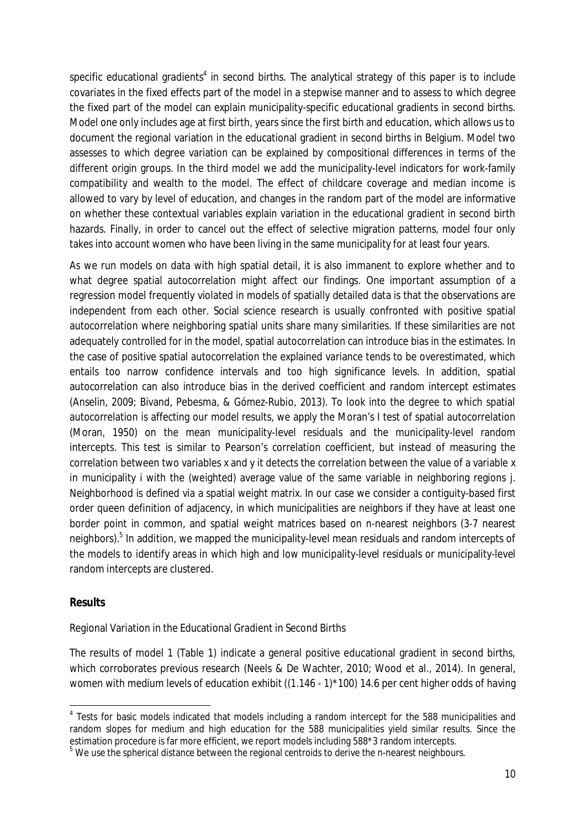specific educational gradients<sup>4</sup> in second births. The analytical strategy of this paper is to include covariates in the fixed effects part of the model in a stepwise manner and to assess to which degree the fixed part of the model can explain municipality-specific educational gradients in second births. Model one only includes age at first birth, years since the first birth and education, which allows us to document the regional variation in the educational gradient in second births in Belgium. Model two assesses to which degree variation can be explained by compositional differences in terms of the different origin groups. In the third model we add the municipality-level indicators for work-family compatibility and wealth to the model. The effect of childcare coverage and median income is allowed to vary by level of education, and changes in the random part of the model are informative on whether these contextual variables explain variation in the educational gradient in second birth hazards. Finally, in order to cancel out the effect of selective migration patterns, model four only takes into account women who have been living in the same municipality for at least four years.

As we run models on data with high spatial detail, it is also immanent to explore whether and to what degree spatial autocorrelation might affect our findings. One important assumption of a regression model frequently violated in models of spatially detailed data is that the observations are independent from each other. Social science research is usually confronted with positive spatial autocorrelation where neighboring spatial units share many similarities. If these similarities are not adequately controlled for in the model, spatial autocorrelation can introduce bias in the estimates. In the case of positive spatial autocorrelation the explained variance tends to be overestimated, which entails too narrow confidence intervals and too high significance levels. In addition, spatial autocorrelation can also introduce bias in the derived coefficient and random intercept estimates (Anselin, 2009; Bivand, Pebesma, & Gómez-Rubio, 2013). To look into the degree to which spatial autocorrelation is affecting our model results, we apply the Moran's I test of spatial autocorrelation (Moran, 1950) on the mean municipality-level residuals and the municipality-level random intercepts. This test is similar to Pearson's correlation coefficient, but instead of measuring the correlation between two variables *x* and *y* it detects the correlation between the value of a variable *x* in municipality *i* with the (weighted) average value of the same variable in neighboring regions *j*. Neighborhood is defined via a spatial weight matrix. In our case we consider a contiguity-based first order queen definition of adjacency, in which municipalities are neighbors if they have at least one border point in common, and spatial weight matrices based on n-nearest neighbors (3-7 nearest neighbors).<sup>5</sup> In addition, we mapped the municipality-level mean residuals and random intercepts of the models to identify areas in which high and low municipality-level residuals or municipality-level random intercepts are clustered.

#### **Results**

Regional Variation in the Educational Gradient in Second Births

The results of model 1 (Table 1) indicate a general positive educational gradient in second births, which corroborates previous research (Neels & De Wachter, 2010; Wood et al., 2014). In general, women with medium levels of education exhibit ((1.146 - 1)\*100) 14.6 per cent higher odds of having

<sup>&</sup>lt;sup>4</sup> Tests for basic models indicated that models including a random intercept for the 588 municipalities and random slopes for medium and high education for the 588 municipalities yield similar results. Since the estimation procedure is far more efficient, we report models including 588\*3 random intercepts.

 $5$  We use the spherical distance between the regional centroids to derive the n-nearest neighbours.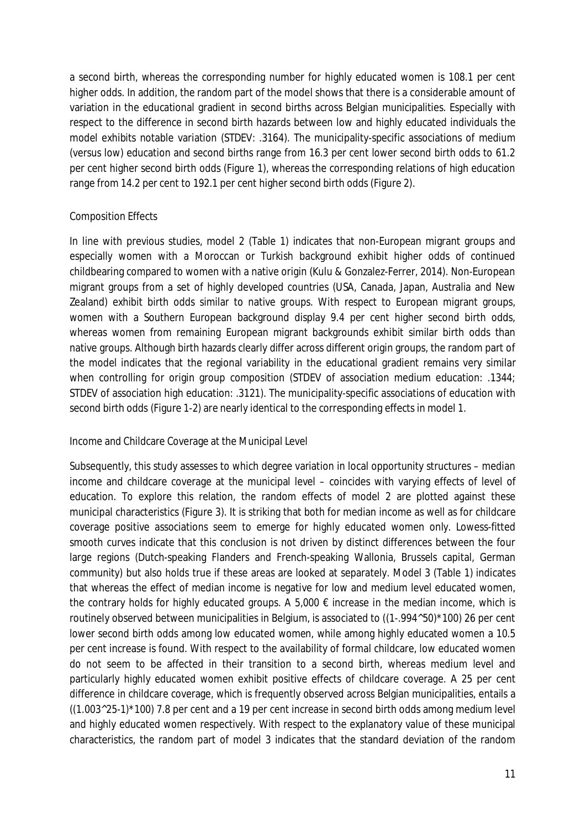a second birth, whereas the corresponding number for highly educated women is 108.1 per cent higher odds. In addition, the random part of the model shows that there is a considerable amount of variation in the educational gradient in second births across Belgian municipalities. Especially with respect to the difference in second birth hazards between low and highly educated individuals the model exhibits notable variation (STDEV: .3164). The municipality-specific associations of medium (versus low) education and second births range from 16.3 per cent lower second birth odds to 61.2 per cent higher second birth odds (Figure 1), whereas the corresponding relations of high education range from 14.2 per cent to 192.1 per cent higher second birth odds (Figure 2).

# Composition Effects

In line with previous studies, model 2 (Table 1) indicates that non-European migrant groups and especially women with a Moroccan or Turkish background exhibit higher odds of continued childbearing compared to women with a native origin (Kulu & Gonzalez-Ferrer, 2014). Non-European migrant groups from a set of highly developed countries (USA, Canada, Japan, Australia and New Zealand) exhibit birth odds similar to native groups. With respect to European migrant groups, women with a Southern European background display 9.4 per cent higher second birth odds, whereas women from remaining European migrant backgrounds exhibit similar birth odds than native groups. Although birth hazards clearly differ across different origin groups, the random part of the model indicates that the regional variability in the educational gradient remains very similar when controlling for origin group composition (STDEV of association medium education: .1344; STDEV of association high education: .3121). The municipality-specific associations of education with second birth odds (Figure 1-2) are nearly identical to the corresponding effects in model 1.

#### Income and Childcare Coverage at the Municipal Level

Subsequently, this study assesses to which degree variation in local opportunity structures – median income and childcare coverage at the municipal level – coincides with varying effects of level of education. To explore this relation, the random effects of model 2 are plotted against these municipal characteristics (Figure 3). It is striking that both for median income as well as for childcare coverage positive associations seem to emerge for highly educated women only. Lowess-fitted smooth curves indicate that this conclusion is not driven by distinct differences between the four large regions (Dutch-speaking Flanders and French-speaking Wallonia, Brussels capital, German community) but also holds true if these areas are looked at separately. Model 3 (Table 1) indicates that whereas the effect of median income is negative for low and medium level educated women, the contrary holds for highly educated groups. A 5,000  $\epsilon$  increase in the median income, which is routinely observed between municipalities in Belgium, is associated to ((1-.994^50)\*100) 26 per cent lower second birth odds among low educated women, while among highly educated women a 10.5 per cent increase is found. With respect to the availability of formal childcare, low educated women do not seem to be affected in their transition to a second birth, whereas medium level and particularly highly educated women exhibit positive effects of childcare coverage. A 25 per cent difference in childcare coverage, which is frequently observed across Belgian municipalities, entails a  $((1.003^225-1)*100)$  7.8 per cent and a 19 per cent increase in second birth odds among medium level and highly educated women respectively. With respect to the explanatory value of these municipal characteristics, the random part of model 3 indicates that the standard deviation of the random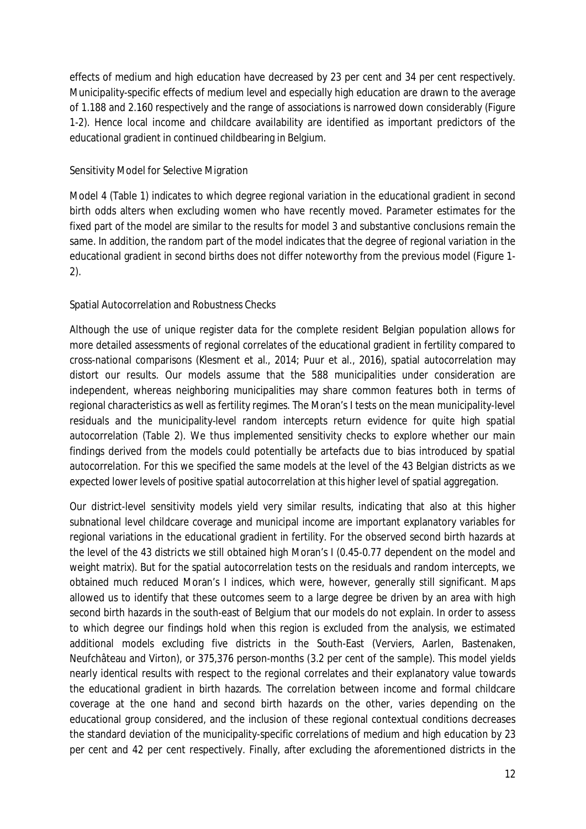effects of medium and high education have decreased by 23 per cent and 34 per cent respectively. Municipality-specific effects of medium level and especially high education are drawn to the average of 1.188 and 2.160 respectively and the range of associations is narrowed down considerably (Figure 1-2). Hence local income and childcare availability are identified as important predictors of the educational gradient in continued childbearing in Belgium.

### Sensitivity Model for Selective Migration

Model 4 (Table 1) indicates to which degree regional variation in the educational gradient in second birth odds alters when excluding women who have recently moved. Parameter estimates for the fixed part of the model are similar to the results for model 3 and substantive conclusions remain the same. In addition, the random part of the model indicates that the degree of regional variation in the educational gradient in second births does not differ noteworthy from the previous model (Figure 1- 2).

# Spatial Autocorrelation and Robustness Checks

Although the use of unique register data for the complete resident Belgian population allows for more detailed assessments of regional correlates of the educational gradient in fertility compared to cross-national comparisons (Klesment et al., 2014; Puur et al., 2016), spatial autocorrelation may distort our results. Our models assume that the 588 municipalities under consideration are independent, whereas neighboring municipalities may share common features both in terms of regional characteristics as well as fertility regimes. The Moran's I tests on the mean municipality-level residuals and the municipality-level random intercepts return evidence for quite high spatial autocorrelation (Table 2). We thus implemented sensitivity checks to explore whether our main findings derived from the models could potentially be artefacts due to bias introduced by spatial autocorrelation. For this we specified the same models at the level of the 43 Belgian districts as we expected lower levels of positive spatial autocorrelation at this higher level of spatial aggregation.

Our district-level sensitivity models yield very similar results, indicating that also at this higher subnational level childcare coverage and municipal income are important explanatory variables for regional variations in the educational gradient in fertility. For the observed second birth hazards at the level of the 43 districts we still obtained high Moran's I (0.45-0.77 dependent on the model and weight matrix). But for the spatial autocorrelation tests on the residuals and random intercepts, we obtained much reduced Moran's I indices, which were, however, generally still significant. Maps allowed us to identify that these outcomes seem to a large degree be driven by an area with high second birth hazards in the south-east of Belgium that our models do not explain. In order to assess to which degree our findings hold when this region is excluded from the analysis, we estimated additional models excluding five districts in the South-East (Verviers, Aarlen, Bastenaken, Neufchâteau and Virton), or 375,376 person-months (3.2 per cent of the sample). This model yields nearly identical results with respect to the regional correlates and their explanatory value towards the educational gradient in birth hazards. The correlation between income and formal childcare coverage at the one hand and second birth hazards on the other, varies depending on the educational group considered, and the inclusion of these regional contextual conditions decreases the standard deviation of the municipality-specific correlations of medium and high education by 23 per cent and 42 per cent respectively. Finally, after excluding the aforementioned districts in the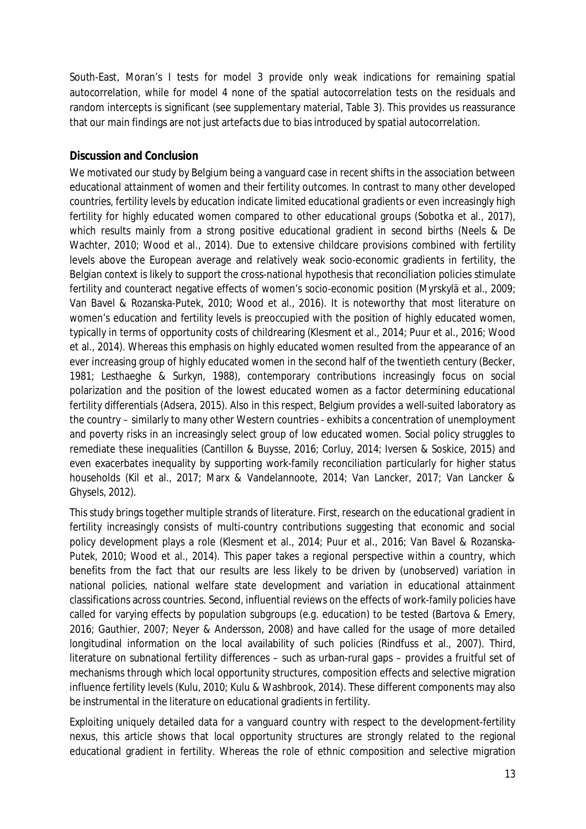South-East, Moran's I tests for model 3 provide only weak indications for remaining spatial autocorrelation, while for model 4 none of the spatial autocorrelation tests on the residuals and random intercepts is significant (see supplementary material, Table 3). This provides us reassurance that our main findings are not just artefacts due to bias introduced by spatial autocorrelation.

# **Discussion and Conclusion**

We motivated our study by Belgium being a vanguard case in recent shifts in the association between educational attainment of women and their fertility outcomes. In contrast to many other developed countries, fertility levels by education indicate limited educational gradients or even increasingly high fertility for highly educated women compared to other educational groups (Sobotka et al., 2017), which results mainly from a strong positive educational gradient in second births (Neels & De Wachter, 2010; Wood et al., 2014). Due to extensive childcare provisions combined with fertility levels above the European average and relatively weak socio-economic gradients in fertility, the Belgian context is likely to support the cross-national hypothesis that reconciliation policies stimulate fertility and counteract negative effects of women's socio-economic position (Myrskylä et al., 2009; Van Bavel & Rozanska-Putek, 2010; Wood et al., 2016). It is noteworthy that most literature on women's education and fertility levels is preoccupied with the position of highly educated women, typically in terms of opportunity costs of childrearing (Klesment et al., 2014; Puur et al., 2016; Wood et al., 2014). Whereas this emphasis on highly educated women resulted from the appearance of an ever increasing group of highly educated women in the second half of the twentieth century (Becker, 1981; Lesthaeghe & Surkyn, 1988), contemporary contributions increasingly focus on social polarization and the position of the lowest educated women as a factor determining educational fertility differentials (Adsera, 2015). Also in this respect, Belgium provides a well-suited laboratory as the country – similarly to many other Western countries - exhibits a concentration of unemployment and poverty risks in an increasingly select group of low educated women. Social policy struggles to remediate these inequalities (Cantillon & Buysse, 2016; Corluy, 2014; Iversen & Soskice, 2015) and even exacerbates inequality by supporting work-family reconciliation particularly for higher status households (Kil et al., 2017; Marx & Vandelannoote, 2014; Van Lancker, 2017; Van Lancker & Ghysels, 2012).

This study brings together multiple strands of literature. First, research on the educational gradient in fertility increasingly consists of multi-country contributions suggesting that economic and social policy development plays a role (Klesment et al., 2014; Puur et al., 2016; Van Bavel & Rozanska-Putek, 2010; Wood et al., 2014). This paper takes a regional perspective within a country, which benefits from the fact that our results are less likely to be driven by (unobserved) variation in national policies, national welfare state development and variation in educational attainment classifications across countries. Second, influential reviews on the effects of work-family policies have called for varying effects by population subgroups (e.g. education) to be tested (Bartova & Emery, 2016; Gauthier, 2007; Neyer & Andersson, 2008) and have called for the usage of more detailed longitudinal information on the local availability of such policies (Rindfuss et al., 2007). Third, literature on subnational fertility differences – such as urban-rural gaps – provides a fruitful set of mechanisms through which local opportunity structures, composition effects and selective migration influence fertility levels (Kulu, 2010; Kulu & Washbrook, 2014). These different components may also be instrumental in the literature on educational gradients in fertility.

Exploiting uniquely detailed data for a vanguard country with respect to the development-fertility nexus, this article shows that local opportunity structures are strongly related to the regional educational gradient in fertility. Whereas the role of ethnic composition and selective migration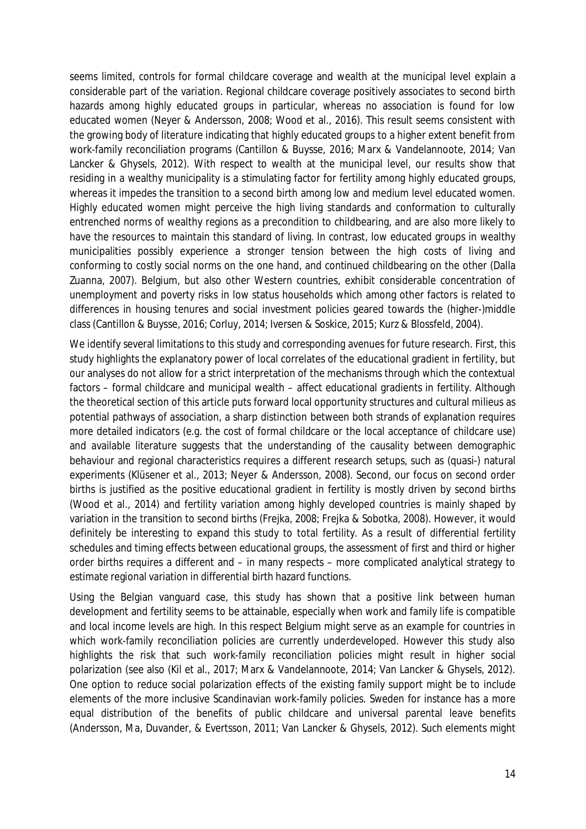seems limited, controls for formal childcare coverage and wealth at the municipal level explain a considerable part of the variation. Regional childcare coverage positively associates to second birth hazards among highly educated groups in particular, whereas no association is found for low educated women (Neyer & Andersson, 2008; Wood et al., 2016). This result seems consistent with the growing body of literature indicating that highly educated groups to a higher extent benefit from work-family reconciliation programs (Cantillon & Buysse, 2016; Marx & Vandelannoote, 2014; Van Lancker & Ghysels, 2012). With respect to wealth at the municipal level, our results show that residing in a wealthy municipality is a stimulating factor for fertility among highly educated groups, whereas it impedes the transition to a second birth among low and medium level educated women. Highly educated women might perceive the high living standards and conformation to culturally entrenched norms of wealthy regions as a precondition to childbearing, and are also more likely to have the resources to maintain this standard of living. In contrast, low educated groups in wealthy municipalities possibly experience a stronger tension between the high costs of living and conforming to costly social norms on the one hand, and continued childbearing on the other (Dalla Zuanna, 2007). Belgium, but also other Western countries, exhibit considerable concentration of unemployment and poverty risks in low status households which among other factors is related to differences in housing tenures and social investment policies geared towards the (higher-)middle class (Cantillon & Buysse, 2016; Corluy, 2014; Iversen & Soskice, 2015; Kurz & Blossfeld, 2004).

We identify several limitations to this study and corresponding avenues for future research. First, this study highlights the explanatory power of local correlates of the educational gradient in fertility, but our analyses do not allow for a strict interpretation of the mechanisms through which the contextual factors – formal childcare and municipal wealth – affect educational gradients in fertility. Although the theoretical section of this article puts forward local opportunity structures and cultural milieus as potential pathways of association, a sharp distinction between both strands of explanation requires more detailed indicators (e.g. the cost of formal childcare or the local acceptance of childcare use) and available literature suggests that the understanding of the causality between demographic behaviour and regional characteristics requires a different research setups, such as (quasi-) natural experiments (Klüsener et al., 2013; Neyer & Andersson, 2008). Second, our focus on second order births is justified as the positive educational gradient in fertility is mostly driven by second births (Wood et al., 2014) and fertility variation among highly developed countries is mainly shaped by variation in the transition to second births (Frejka, 2008; Frejka & Sobotka, 2008). However, it would definitely be interesting to expand this study to total fertility. As a result of differential fertility schedules and timing effects between educational groups, the assessment of first and third or higher order births requires a different and – in many respects – more complicated analytical strategy to estimate regional variation in differential birth hazard functions.

Using the Belgian vanguard case, this study has shown that a positive link between human development and fertility seems to be attainable, especially when work and family life is compatible and local income levels are high. In this respect Belgium might serve as an example for countries in which work-family reconciliation policies are currently underdeveloped. However this study also highlights the risk that such work-family reconciliation policies might result in higher social polarization (see also (Kil et al., 2017; Marx & Vandelannoote, 2014; Van Lancker & Ghysels, 2012). One option to reduce social polarization effects of the existing family support might be to include elements of the more inclusive Scandinavian work-family policies. Sweden for instance has a more equal distribution of the benefits of public childcare and universal parental leave benefits (Andersson, Ma, Duvander, & Evertsson, 2011; Van Lancker & Ghysels, 2012). Such elements might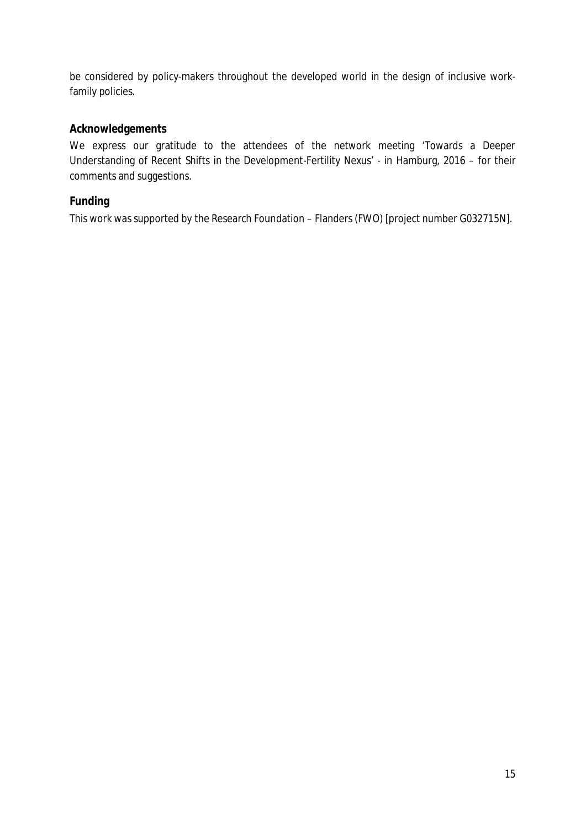be considered by policy-makers throughout the developed world in the design of inclusive workfamily policies.

# **Acknowledgements**

We express our gratitude to the attendees of the network meeting 'Towards a Deeper Understanding of Recent Shifts in the Development-Fertility Nexus' - in Hamburg, 2016 – for their comments and suggestions.

# **Funding**

This work was supported by the Research Foundation – Flanders (FWO) [project number G032715N].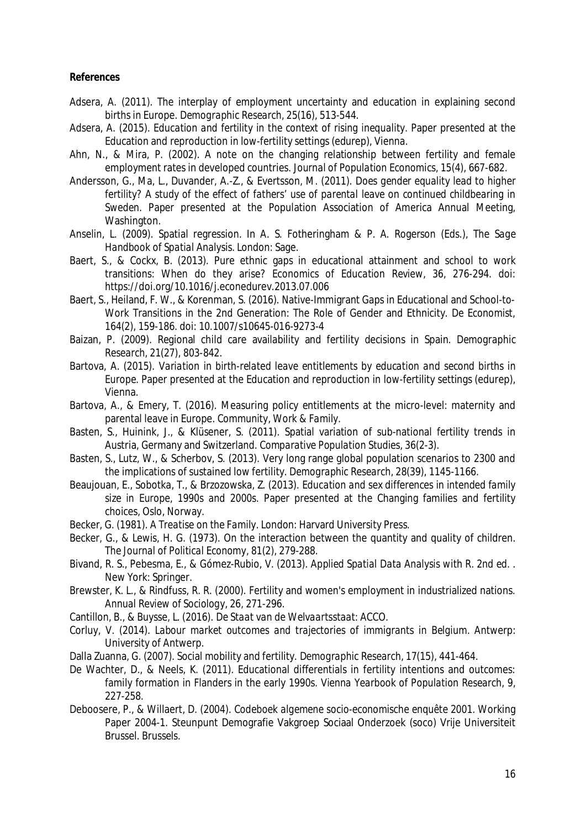**References**

- Adsera, A. (2011). The interplay of employment uncertainty and education in explaining second births in Europe. *Demographic Research, 25*(16), 513-544.
- Adsera, A. (2015). *Education and fertility in the context of rising inequality*. Paper presented at the Education and reproduction in low-fertility settings (edurep), Vienna.
- Ahn, N., & Mira, P. (2002). A note on the changing relationship between fertility and female employment rates in developed countries. *Journal of Population Economics, 15*(4), 667-682.
- Andersson, G., Ma, L., Duvander, A.-Z., & Evertsson, M. (2011). *Does gender equality lead to higher fertility? A study of the effect of fathers' use of parental leave on continued childbearing in Sweden*. Paper presented at the Population Association of America Annual Meeting, Washington.
- Anselin, L. (2009). Spatial regression. In A. S. Fotheringham & P. A. Rogerson (Eds.), *The Sage Handbook of Spatial Analysis*. London: Sage.
- Baert, S., & Cockx, B. (2013). Pure ethnic gaps in educational attainment and school to work transitions: When do they arise? *Economics of Education Review, 36*, 276-294. doi: https://doi.org/10.1016/j.econedurev.2013.07.006
- Baert, S., Heiland, F. W., & Korenman, S. (2016). Native-Immigrant Gaps in Educational and School-to-Work Transitions in the 2nd Generation: The Role of Gender and Ethnicity. *De Economist, 164*(2), 159-186. doi: 10.1007/s10645-016-9273-4
- Baizan, P. (2009). Regional child care availability and fertility decisions in Spain. *Demographic Research, 21*(27), 803-842.
- Bartova, A. (2015). *Variation in birth-related leave entitlements by education and second births in Europe*. Paper presented at the Education and reproduction in low-fertility settings (edurep), Vienna.
- Bartova, A., & Emery, T. (2016). Measuring policy entitlements at the micro-level: maternity and parental leave in Europe. *Community, Work & Family*.
- Basten, S., Huinink, J., & Klüsener, S. (2011). Spatial variation of sub-national fertility trends in Austria, Germany and Switzerland. *Comparative Population Studies, 36*(2-3).
- Basten, S., Lutz, W., & Scherbov, S. (2013). Very long range global population scenarios to 2300 and the implications of sustained low fertility. *Demographic Research, 28*(39), 1145-1166.
- Beaujouan, E., Sobotka, T., & Brzozowska, Z. (2013). *Education and sex differences in intended family size in Europe, 1990s and 2000s*. Paper presented at the Changing families and fertility choices, Oslo, Norway.
- Becker, G. (1981). *A Treatise on the Family*. London: Harvard University Press.
- Becker, G., & Lewis, H. G. (1973). On the interaction between the quantity and quality of children. *The Journal of Political Economy, 81*(2), 279-288.
- Bivand, R. S., Pebesma, E., & Gómez-Rubio, V. (2013). *Applied Spatial Data Analysis with R. 2nd ed.* . New York: Springer.
- Brewster, K. L., & Rindfuss, R. R. (2000). Fertility and women's employment in industrialized nations. *Annual Review of Sociology, 26*, 271-296.
- Cantillon, B., & Buysse, L. (2016). *De Staat van de Welvaartsstaat*: ACCO.
- Corluy, V. (2014). *Labour market outcomes and trajectories of immigrants in Belgium*. Antwerp: University of Antwerp.
- Dalla Zuanna, G. (2007). Social mobility and fertility. *Demographic Research, 17*(15), 441-464.
- De Wachter, D., & Neels, K. (2011). Educational differentials in fertility intentions and outcomes: family formation in Flanders in the early 1990s. *Vienna Yearbook of Population Research, 9*, 227-258.
- Deboosere, P., & Willaert, D. (2004). *Codeboek algemene socio-economische enquête 2001*. Working Paper 2004-1. Steunpunt Demografie Vakgroep Sociaal Onderzoek (soco) Vrije Universiteit Brussel. Brussels.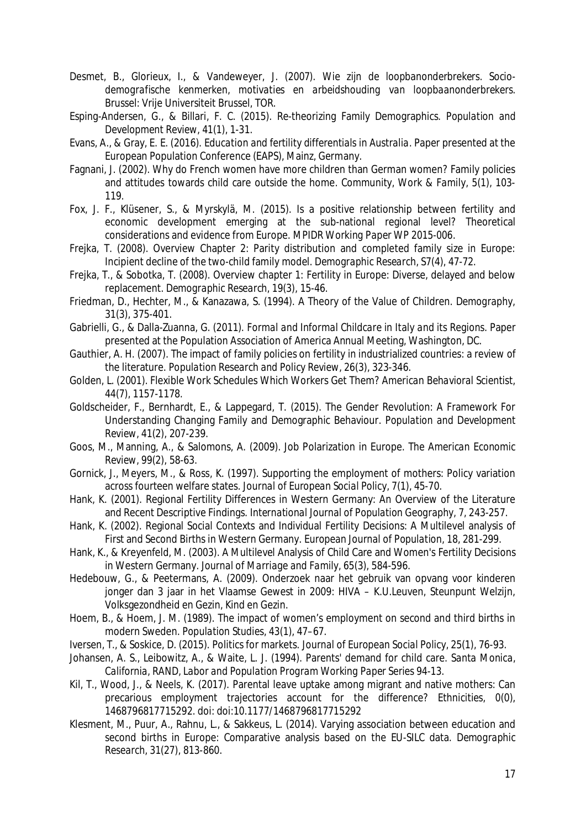- Desmet, B., Glorieux, I., & Vandeweyer, J. (2007). *Wie zijn de loopbanonderbrekers. Sociodemografische kenmerken, motivaties en arbeidshouding van loopbaanonderbrekers*. Brussel: Vrije Universiteit Brussel, TOR.
- Esping-Andersen, G., & Billari, F. C. (2015). Re-theorizing Family Demographics. *Population and Development Review, 41*(1), 1-31.
- Evans, A., & Gray, E. E. (2016). *Education and fertility differentials in Australia*. Paper presented at the European Population Conference (EAPS), Mainz, Germany.
- Fagnani, J. (2002). Why do French women have more children than German women? Family policies and attitudes towards child care outside the home. *Community, Work & Family, 5*(1), 103- 119.
- Fox, J. F., Klüsener, S., & Myrskylä, M. (2015). Is a positive relationship between fertility and economic development emerging at the sub-national regional level? Theoretical considerations and evidence from Europe. *MPIDR Working Paper WP 2015-006*.
- Frejka, T. (2008). Overview Chapter 2: Parity distribution and completed family size in Europe: Incipient decline of the two-child family model. *Demographic Research, S7*(4), 47-72.
- Frejka, T., & Sobotka, T. (2008). Overview chapter 1: Fertility in Europe: Diverse, delayed and below replacement. *Demographic Research, 19*(3), 15-46.
- Friedman, D., Hechter, M., & Kanazawa, S. (1994). A Theory of the Value of Children. *Demography, 31*(3), 375-401.
- Gabrielli, G., & Dalla-Zuanna, G. (2011). *Formal and Informal Childcare in Italy and its Regions*. Paper presented at the Population Association of America Annual Meeting, Washington, DC.
- Gauthier, A. H. (2007). The impact of family policies on fertility in industrialized countries: a review of the literature. *Population Research and Policy Review, 26*(3), 323-346.
- Golden, L. (2001). Flexible Work Schedules Which Workers Get Them? *American Behavioral Scientist, 44*(7), 1157-1178.
- Goldscheider, F., Bernhardt, E., & Lappegard, T. (2015). The Gender Revolution: A Framework For Understanding Changing Family and Demographic Behaviour. *Population and Development Review, 41*(2), 207-239.
- Goos, M., Manning, A., & Salomons, A. (2009). Job Polarization in Europe. *The American Economic Review, 99*(2), 58-63.
- Gornick, J., Meyers, M., & Ross, K. (1997). Supporting the employment of mothers: Policy variation across fourteen welfare states. *Journal of European Social Policy, 7*(1), 45-70.
- Hank, K. (2001). Regional Fertility Differences in Western Germany: An Overview of the Literature and Recent Descriptive Findings. *International Journal of Population Geography, 7*, 243-257.
- Hank, K. (2002). Regional Social Contexts and Individual Fertility Decisions: A Multilevel analysis of First and Second Births in Western Germany. *European Journal of Population, 18*, 281-299.
- Hank, K., & Kreyenfeld, M. (2003). A Multilevel Analysis of Child Care and Women's Fertility Decisions in Western Germany. *Journal of Marriage and Family, 65*(3), 584-596.
- Hedebouw, G., & Peetermans, A. (2009). Onderzoek naar het gebruik van opvang voor kinderen jonger dan 3 jaar in het Vlaamse Gewest in 2009: HIVA – K.U.Leuven, Steunpunt Welzijn, Volksgezondheid en Gezin, Kind en Gezin.
- Hoem, B., & Hoem, J. M. (1989). The impact of women's employment on second and third births in modern Sweden. *Population Studies, 43*(1), 47–67.
- Iversen, T., & Soskice, D. (2015). Politics for markets. *Journal of European Social Policy, 25*(1), 76-93.
- Johansen, A. S., Leibowitz, A., & Waite, L. J. (1994). Parents' demand for child care. *Santa Monica, California, RAND, Labor and Population Program Working Paper Series 94-13*.
- Kil, T., Wood, J., & Neels, K. (2017). Parental leave uptake among migrant and native mothers: Can precarious employment trajectories account for the difference? *Ethnicities, 0*(0), 1468796817715292. doi: doi:10.1177/1468796817715292
- Klesment, M., Puur, A., Rahnu, L., & Sakkeus, L. (2014). Varying association between education and second births in Europe: Comparative analysis based on the EU-SILC data. *Demographic Research, 31*(27), 813-860.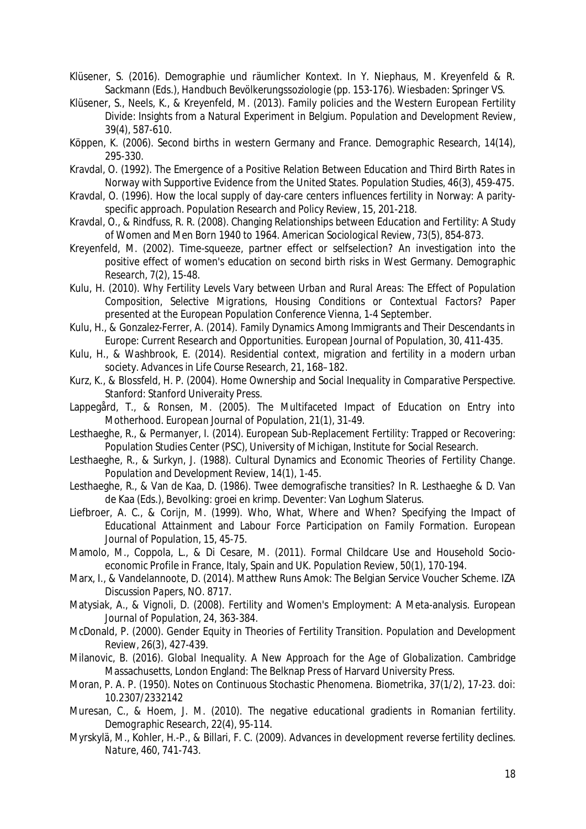- Klüsener, S. (2016). Demographie und räumlicher Kontext. In Y. Niephaus, M. Kreyenfeld & R. Sackmann (Eds.), *Handbuch Bevölkerungssoziologie* (pp. 153-176). Wiesbaden: Springer VS.
- Klüsener, S., Neels, K., & Kreyenfeld, M. (2013). Family policies and the Western European Fertility Divide: Insights from a Natural Experiment in Belgium. *Population and Development Review, 39*(4), 587-610.
- Köppen, K. (2006). Second births in western Germany and France. *Demographic Research, 14*(14), 295-330.
- Kravdal, O. (1992). The Emergence of a Positive Relation Between Education and Third Birth Rates in Norway with Supportive Evidence from the United States. *Population Studies, 46*(3), 459-475.
- Kravdal, O. (1996). How the local supply of day-care centers influences fertility in Norway: A parityspecific approach. *Population Research and Policy Review, 15*, 201-218.
- Kravdal, O., & Rindfuss, R. R. (2008). Changing Relationships between Education and Fertility: A Study of Women and Men Born 1940 to 1964. *American Sociological Review, 73*(5), 854-873.
- Kreyenfeld, M. (2002). Time-squeeze, partner effect or selfselection? An investigation into the positive effect of women's education on second birth risks in West Germany. *Demographic Research, 7*(2), 15-48.
- Kulu, H. (2010). *Why Fertility Levels Vary between Urban and Rural Areas: The Effect of Population Composition, Selective Migrations, Housing Conditions or Contextual Factors?* Paper presented at the European Population Conference Vienna, 1-4 September.
- Kulu, H., & Gonzalez-Ferrer, A. (2014). Family Dynamics Among Immigrants and Their Descendants in Europe: Current Research and Opportunities. *European Journal of Population, 30*, 411-435.
- Kulu, H., & Washbrook, E. (2014). Residential context, migration and fertility in a modern urban society. *Advances in Life Course Research, 21*, 168–182.
- Kurz, K., & Blossfeld, H. P. (2004). *Home Ownership and Social Inequality in Comparative Perspective*. Stanford: Stanford Univeraity Press.
- Lappegård, T., & Ronsen, M. (2005). The Multifaceted Impact of Education on Entry into Motherhood. *European Journal of Population, 21*(1), 31-49.
- Lesthaeghe, R., & Permanyer, I. (2014). European Sub-Replacement Fertility: Trapped or Recovering: Population Studies Center (PSC), University of Michigan, Institute for Social Research.
- Lesthaeghe, R., & Surkyn, J. (1988). Cultural Dynamics and Economic Theories of Fertility Change. *Population and Development Review, 14*(1), 1-45.
- Lesthaeghe, R., & Van de Kaa, D. (1986). Twee demografische transities? In R. Lesthaeghe & D. Van de Kaa (Eds.), *Bevolking: groei en krimp*. Deventer: Van Loghum Slaterus.
- Liefbroer, A. C., & Corijn, M. (1999). Who, What, Where and When? Specifying the Impact of Educational Attainment and Labour Force Participation on Family Formation. *European Journal of Population, 15*, 45-75.
- Mamolo, M., Coppola, L., & Di Cesare, M. (2011). Formal Childcare Use and Household Socioeconomic Profile in France, Italy, Spain and UK. *Population Review, 50*(1), 170-194.
- Marx, I., & Vandelannoote, D. (2014). Matthew Runs Amok: The Belgian Service Voucher Scheme. *IZA Discussion Papers, NO. 8717*.
- Matysiak, A., & Vignoli, D. (2008). Fertility and Women's Employment: A Meta-analysis. *European Journal of Population, 24*, 363-384.
- McDonald, P. (2000). Gender Equity in Theories of Fertility Transition. *Population and Development Review, 26*(3), 427-439.
- Milanovic, B. (2016). *Global Inequality. A New Approach for the Age of Globalization*. Cambridge Massachusetts, London England: The Belknap Press of Harvard University Press.
- Moran, P. A. P. (1950). Notes on Continuous Stochastic Phenomena. *Biometrika, 37*(1/2), 17-23. doi: 10.2307/2332142
- Muresan, C., & Hoem, J. M. (2010). The negative educational gradients in Romanian fertility. *Demographic Research, 22*(4), 95-114.
- Myrskylä, M., Kohler, H.-P., & Billari, F. C. (2009). Advances in development reverse fertility declines. *Nature, 460*, 741-743.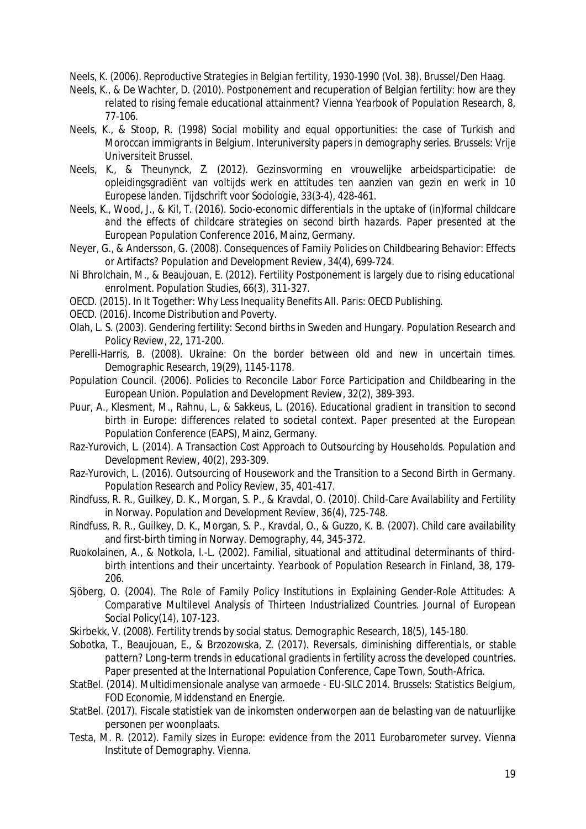Neels, K. (2006). *Reproductive Strategies in Belgian fertility, 1930-1990* (Vol. 38). Brussel/Den Haag.

- Neels, K., & De Wachter, D. (2010). Postponement and recuperation of Belgian fertility: how are they related to rising female educational attainment? *Vienna Yearbook of Population Research, 8*, 77-106.
- Neels, K., & Stoop, R. (1998) Social mobility and equal opportunities: the case of Turkish and Moroccan immigrants in Belgium. *Interuniversity papers in demography series*. Brussels: Vrije Universiteit Brussel.
- Neels, K., & Theunynck, Z. (2012). Gezinsvorming en vrouwelijke arbeidsparticipatie: de opleidingsgradiënt van voltijds werk en attitudes ten aanzien van gezin en werk in 10 Europese landen. *Tijdschrift voor Sociologie, 33*(3-4), 428-461.
- Neels, K., Wood, J., & Kil, T. (2016). *Socio-economic differentials in the uptake of (in)formal childcare and the effects of childcare strategies on second birth hazards*. Paper presented at the European Population Conference 2016, Mainz, Germany.
- Neyer, G., & Andersson, G. (2008). Consequences of Family Policies on Childbearing Behavior: Effects or Artifacts? *Population and Development Review, 34*(4), 699-724.
- Ni Bhrolchain, M., & Beaujouan, E. (2012). Fertility Postponement is largely due to rising educational enrolment. *Population Studies, 66*(3), 311-327.
- OECD. (2015). *In It Together: Why Less Inequality Benefits All*. Paris: OECD Publishing.
- OECD. (2016). *Income Distribution and Poverty*.
- Olah, L. S. (2003). Gendering fertility: Second births in Sweden and Hungary. *Population Research and Policy Review, 22*, 171-200.
- Perelli-Harris, B. (2008). Ukraine: On the border between old and new in uncertain times. *Demographic Research, 19*(29), 1145-1178.
- Population Council. (2006). Policies to Reconcile Labor Force Participation and Childbearing in the European Union. *Population and Development Review, 32*(2), 389-393.
- Puur, A., Klesment, M., Rahnu, L., & Sakkeus, L. (2016). *Educational gradient in transition to second birth in Europe: differences related to societal context*. Paper presented at the European Population Conference (EAPS), Mainz, Germany.
- Raz-Yurovich, L. (2014). A Transaction Cost Approach to Outsourcing by Households. *Population and Development Review, 40*(2), 293-309.
- Raz-Yurovich, L. (2016). Outsourcing of Housework and the Transition to a Second Birth in Germany. *Population Research and Policy Review, 35*, 401-417.
- Rindfuss, R. R., Guilkey, D. K., Morgan, S. P., & Kravdal, O. (2010). Child-Care Availability and Fertility in Norway. *Population and Development Review, 36*(4), 725-748.
- Rindfuss, R. R., Guilkey, D. K., Morgan, S. P., Kravdal, O., & Guzzo, K. B. (2007). Child care availability and first-birth timing in Norway. *Demography, 44*, 345-372.
- Ruokolainen, A., & Notkola, I.-L. (2002). Familial, situational and attitudinal determinants of thirdbirth intentions and their uncertainty. *Yearbook of Population Research in Finland, 38*, 179- 206.
- Sjöberg, O. (2004). The Role of Family Policy Institutions in Explaining Gender-Role Attitudes: A Comparative Multilevel Analysis of Thirteen Industrialized Countries. *Journal of European Social Policy*(14), 107-123.
- Skirbekk, V. (2008). Fertility trends by social status. *Demographic Research, 18*(5), 145-180.
- Sobotka, T., Beaujouan, E., & Brzozowska, Z. (2017). *Reversals, diminishing differentials, or stable pattern? Long-term trends in educational gradients in fertility across the developed countries*. Paper presented at the International Population Conference, Cape Town, South-Africa.
- StatBel. (2014). Multidimensionale analyse van armoede EU-SILC 2014. Brussels: Statistics Belgium, FOD Economie, Middenstand en Energie.
- StatBel. (2017). Fiscale statistiek van de inkomsten onderworpen aan de belasting van de natuurlijke personen per woonplaats.
- Testa, M. R. (2012). *Family sizes in Europe: evidence from the 2011 Eurobarometer survey*. Vienna Institute of Demography. Vienna.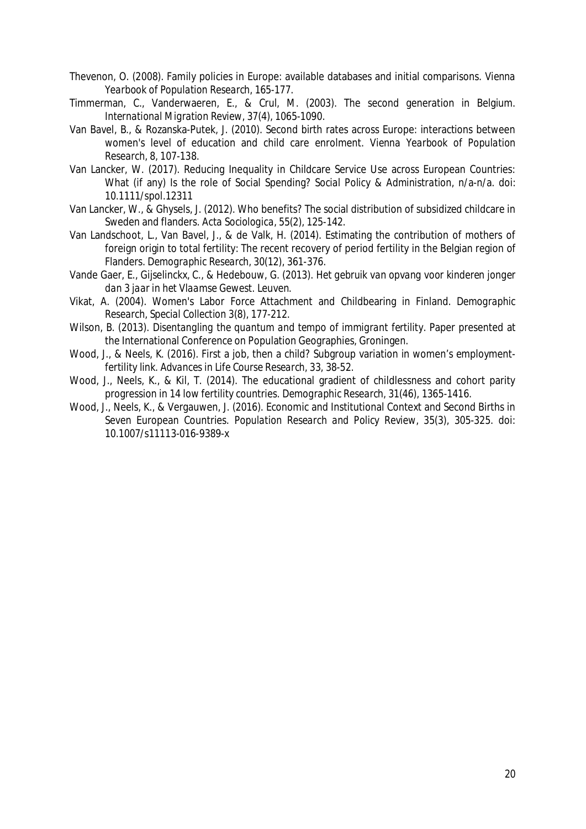- Thevenon, O. (2008). Family policies in Europe: available databases and initial comparisons. *Vienna Yearbook of Population Research*, 165-177.
- Timmerman, C., Vanderwaeren, E., & Crul, M. (2003). The second generation in Belgium. *International Migration Review, 37*(4), 1065-1090.
- Van Bavel, B., & Rozanska-Putek, J. (2010). Second birth rates across Europe: interactions between women's level of education and child care enrolment. *Vienna Yearbook of Population Research, 8*, 107-138.
- Van Lancker, W. (2017). Reducing Inequality in Childcare Service Use across European Countries: What (if any) Is the role of Social Spending? *Social Policy & Administration*, n/a-n/a. doi: 10.1111/spol.12311
- Van Lancker, W., & Ghysels, J. (2012). Who benefits? The social distribution of subsidized childcare in Sweden and flanders. *Acta Sociologica, 55*(2), 125-142.
- Van Landschoot, L., Van Bavel, J., & de Valk, H. (2014). Estimating the contribution of mothers of foreign origin to total fertility: The recent recovery of period fertility in the Belgian region of Flanders. *Demographic Research, 30*(12), 361-376.
- Vande Gaer, E., Gijselinckx, C., & Hedebouw, G. (2013). *Het gebruik van opvang voor kinderen jonger dan 3 jaar in het Vlaamse Gewest.* Leuven.
- Vikat, A. (2004). Women's Labor Force Attachment and Childbearing in Finland. *Demographic Research, Special Collection 3*(8), 177-212.
- Wilson, B. (2013). *Disentangling the quantum and tempo of immigrant fertility.* Paper presented at the International Conference on Population Geographies, Groningen.
- Wood, J., & Neels, K. (2016). First a job, then a child? Subgroup variation in women's employmentfertility link. *Advances in Life Course Research, 33*, 38-52.
- Wood, J., Neels, K., & Kil, T. (2014). The educational gradient of childlessness and cohort parity progression in 14 low fertility countries. *Demographic Research, 31*(46), 1365-1416.
- Wood, J., Neels, K., & Vergauwen, J. (2016). Economic and Institutional Context and Second Births in Seven European Countries. *Population Research and Policy Review, 35*(3), 305-325. doi: 10.1007/s11113-016-9389-x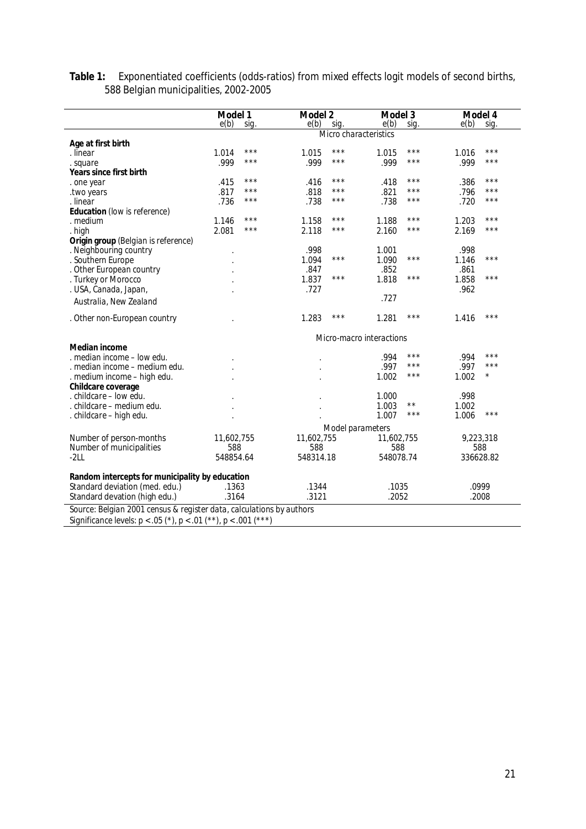|                                                 | Model 1<br>e(b)<br>sig. | Model 2<br>e(b)<br>sig. | Model 3<br>e(b)<br>sig.  | Model 4<br>e(b)<br>sig. |  |
|-------------------------------------------------|-------------------------|-------------------------|--------------------------|-------------------------|--|
|                                                 |                         | Micro characteristics   |                          |                         |  |
| Age at first birth                              |                         |                         |                          |                         |  |
| . linear                                        | $***$<br>1.014          | ***<br>1.015            | ***<br>1.015             | ***<br>1.016            |  |
| . square                                        | $***$<br>.999           | ***<br>.999             | ***<br>.999              | $***$<br>.999           |  |
| Years since first birth                         |                         |                         |                          |                         |  |
| . one year                                      | $***$<br>.415           | ***<br>.416             | ***<br>.418              | ***<br>.386             |  |
| two years.                                      | ***<br>.817             | ***<br>.818             | ***<br>.821              | .796<br>***             |  |
| . linear                                        | $***$<br>.736           | ***<br>.738             | ***<br>.738              | ***<br>.720             |  |
| Education (low is reference)                    |                         |                         |                          |                         |  |
| . medium                                        | $***$<br>1.146          | ***<br>1.158            | ***<br>1.188             | ***<br>1.203            |  |
| . high                                          | 2.081<br>$***$          | ***<br>2.118            | ***<br>2.160             | ***<br>2.169            |  |
| Origin group (Belgian is reference)             |                         |                         |                          |                         |  |
| . Neighbouring country                          |                         | .998                    | 1.001                    | .998                    |  |
| . Southern Europe                               |                         | $***$<br>1.094          | $***$<br>1.090           | ***<br>1.146            |  |
| . Other European country                        |                         | .847                    | .852                     | .861                    |  |
| . Turkey or Morocco                             |                         | ***<br>1.837            | ***<br>1.818             | $***$<br>1.858          |  |
| . USA, Canada, Japan,                           |                         | .727                    |                          | .962                    |  |
|                                                 |                         |                         | .727                     |                         |  |
| Australia, New Zealand                          |                         |                         |                          |                         |  |
| . Other non-European country                    |                         | ***<br>1.283            | ***<br>1.281             | ***<br>1.416            |  |
|                                                 |                         |                         | Micro-macro interactions |                         |  |
| Median income                                   |                         |                         | ***                      | ***                     |  |
| . median income - low edu.                      |                         |                         | .994<br>***              | .994<br>$***$           |  |
| . median income – medium edu.                   |                         |                         | .997<br>***              | .997<br>$^\star$        |  |
| . medium income - high edu.                     |                         |                         | 1.002                    | 1.002                   |  |
| Childcare coverage                              |                         |                         |                          |                         |  |
| . childcare - low edu.                          |                         |                         | 1.000<br>$\star\star$    | .998                    |  |
| . childcare – medium edu.                       |                         |                         | 1.003<br>$***$           | 1.002<br>$***$          |  |
| . childcare - high edu.                         |                         |                         | 1.007                    | 1.006                   |  |
|                                                 |                         | Model parameters        |                          |                         |  |
| Number of person-months                         | 11,602,755              | 11,602,755              | 11,602,755               | 9,223,318               |  |
| Number of municipalities                        | 588                     | 588                     | 588                      | 588                     |  |
| $-2LL$                                          | 548854.64               | 548314.18               | 548078.74                | 336628.82               |  |
| Random intercepts for municipality by education |                         |                         |                          |                         |  |
| Standard deviation (med. edu.)                  | .1363                   | .1344                   | .1035                    | .0999                   |  |
| Standard devation (high edu.)                   | .3164                   | .3121                   | .2052                    | .2008                   |  |

**Table 1:** Exponentiated coefficients (odds-ratios) from mixed effects logit models of second births, 588 Belgian municipalities, 2002-2005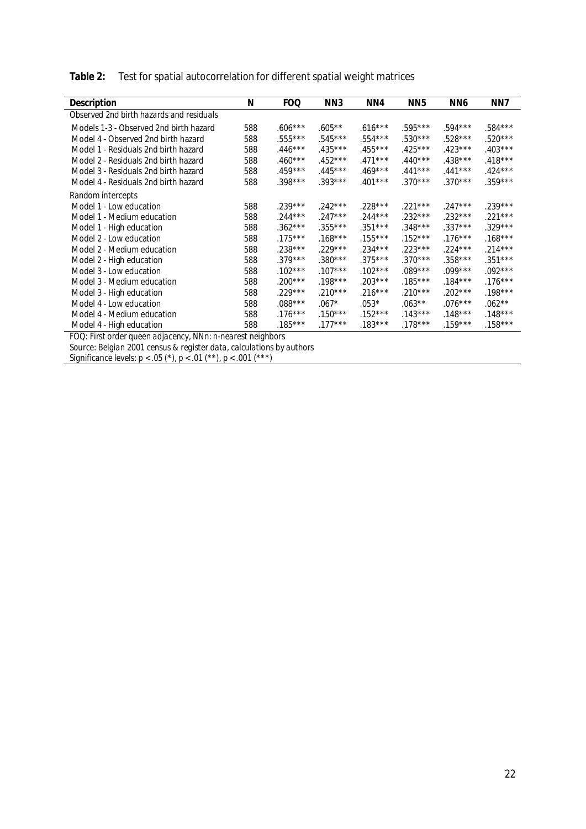| Table 2: Test for spatial autocorrelation for different spatial weight matrices |
|---------------------------------------------------------------------------------|
|                                                                                 |

|                                                            | N   | FOQ       | NN3       | NN4       | NN <sub>5</sub> | NN6       | NN7       |  |
|------------------------------------------------------------|-----|-----------|-----------|-----------|-----------------|-----------|-----------|--|
| Description                                                |     |           |           |           |                 |           |           |  |
| Observed 2nd birth hazards and residuals                   |     |           |           |           |                 |           |           |  |
| Models 1-3 - Observed 2nd birth hazard                     | 588 | $.606***$ | $.605***$ | $.616***$ | .595***         | .594***   | .584***   |  |
| Model 4 - Observed 2nd birth hazard                        | 588 | $.555***$ | $.545***$ | $.554***$ | $.530***$       | $.528***$ | $.520***$ |  |
| Model 1 - Residuals 2nd birth hazard                       | 588 | $.446***$ | $.435***$ | $.455***$ | $.425***$       | $.423***$ | $.403***$ |  |
| Model 2 - Residuals 2nd birth hazard                       | 588 | $.460***$ | $.452***$ | $.471***$ | $.440***$       | $.438***$ | $.418***$ |  |
| Model 3 - Residuals 2nd birth hazard                       | 588 | $.459***$ | $.445***$ | $.469***$ | $.441***$       | $.441***$ | $.424***$ |  |
| Model 4 - Residuals 2nd birth hazard                       | 588 | $.398***$ | $.393***$ | $.401***$ | $.370***$       | $.370***$ | $.359***$ |  |
| Random intercepts                                          |     |           |           |           |                 |           |           |  |
| Model 1 - Low education                                    | 588 | $.239***$ | $.242***$ | $.228***$ | $.221***$       | $.247***$ | $.239***$ |  |
| Model 1 - Medium education                                 | 588 | $.244***$ | $.247***$ | $.244***$ | $.232***$       | $.232***$ | .221***   |  |
| Model 1 - High education                                   | 588 | $.362***$ | $.355***$ | $.351***$ | $.348***$       | $.337***$ | $.329***$ |  |
| Model 2 - Low education                                    | 588 | $.175***$ | $.168***$ | $.155***$ | $.152***$       | $.176***$ | $.168***$ |  |
| Model 2 - Medium education                                 | 588 | $.238***$ | $.229***$ | $.234***$ | $.223***$       | $.224***$ | $.214***$ |  |
| Model 2 - High education                                   | 588 | $.379***$ | $.380***$ | $.375***$ | $.370***$       | $.358***$ | $.351***$ |  |
| Model 3 - Low education                                    | 588 | $.102***$ | $.107***$ | $.102***$ | $.089***$       | $.099***$ | $.092***$ |  |
| Model 3 - Medium education                                 | 588 | $.200***$ | $.198***$ | $.203***$ | $.185***$       | $.184***$ | $.176***$ |  |
| Model 3 - High education                                   | 588 | $.229***$ | $.210***$ | $.216***$ | $.210***$       | $.202***$ | $.198***$ |  |
| Model 4 - Low education                                    | 588 | $.088***$ | $.067*$   | $.053*$   | $.063***$       | $.076***$ | $.062**$  |  |
| Model 4 - Medium education                                 | 588 | $.176***$ | $.150***$ | $.152***$ | $.143***$       | $.148***$ | $.148***$ |  |
| Model 4 - High education                                   | 588 | $.185***$ | $.177***$ | $.183***$ | .178***         | $.159***$ | $.158***$ |  |
| FOQ: First order queen adjacency, NNn: n-nearest neighbors |     |           |           |           |                 |           |           |  |

*Source: Belgian 2001 census & register data, calculations by authors*

*Significance levels: p < .05 (\*), p < .01 (\*\*), p < .001 (\*\*\*)*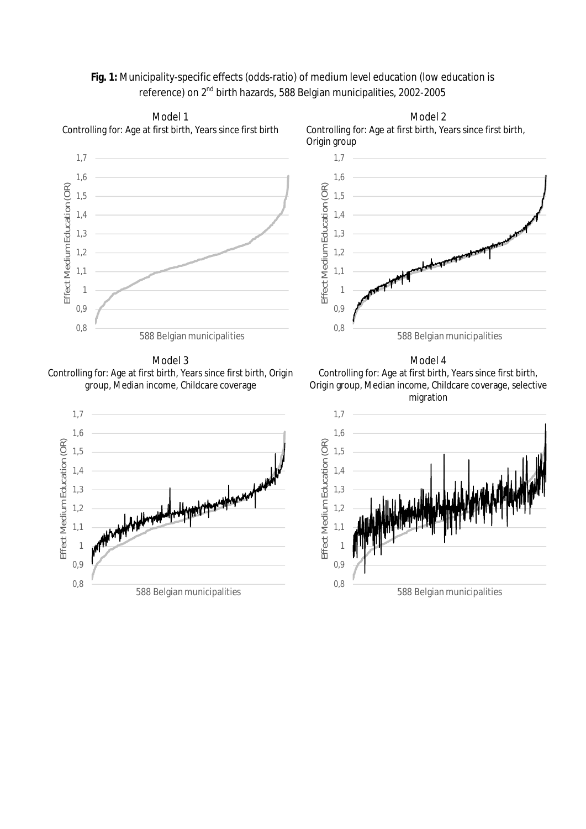# **Fig. 1:** Municipality-specific effects (odds-ratio) of medium level education (low education is reference) on 2nd birth hazards, 588 Belgian municipalities, 2002-2005





Model 3 Controlling for: Age at first birth, Years since first birth, Origin group, Median income, Childcare coverage



Model 4 Controlling for: Age at first birth, Years since first birth, Origin group, Median income, Childcare coverage, selective migration

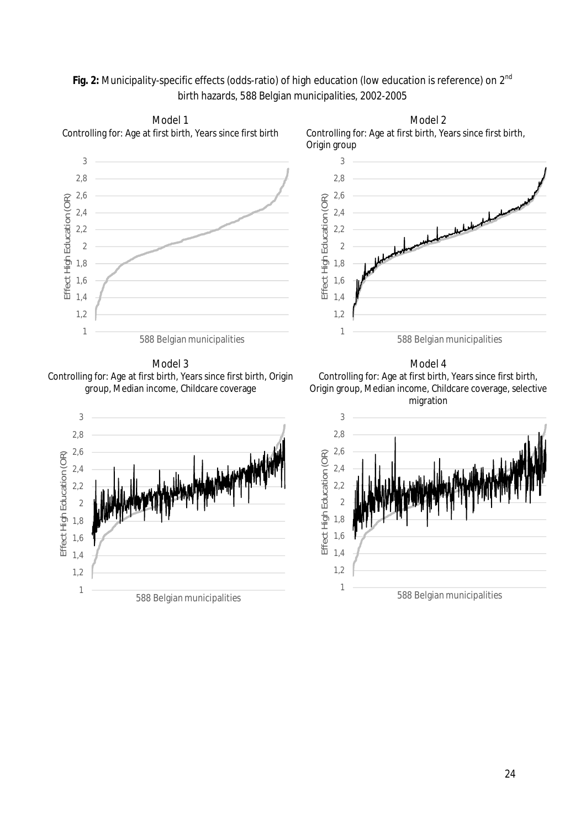# Fig. 2: Municipality-specific effects (odds-ratio) of high education (low education is reference) on 2<sup>nd</sup> birth hazards, 588 Belgian municipalities, 2002-2005





Model 2

Model 3 Controlling for: Age at first birth, Years since first birth, Origin group, Median income, Childcare coverage



Model 4 Controlling for: Age at first birth, Years since first birth, Origin group, Median income, Childcare coverage, selective migration

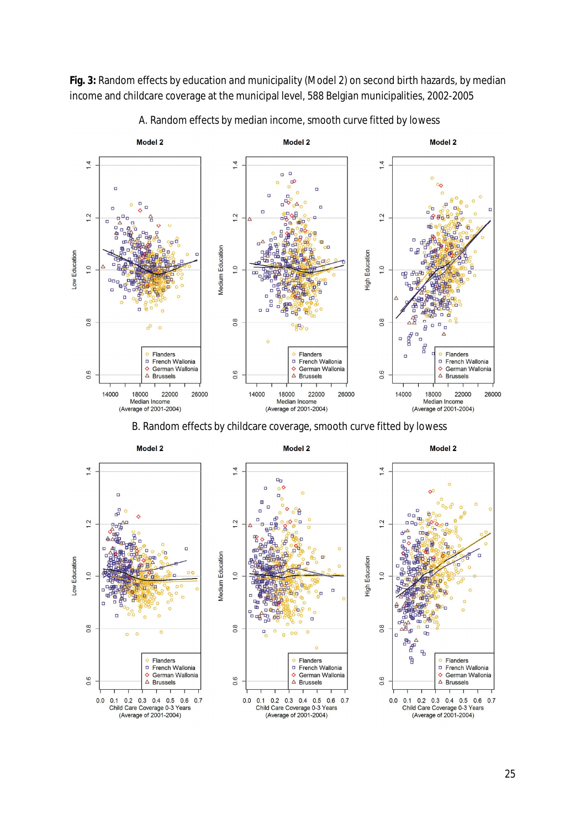**Fig. 3:** Random effects by education and municipality (Model 2) on second birth hazards, by median income and childcare coverage at the municipal level, 588 Belgian municipalities, 2002-2005



A. Random effects by median income, smooth curve fitted by lowess

B. Random effects by childcare coverage, smooth curve fitted by lowess